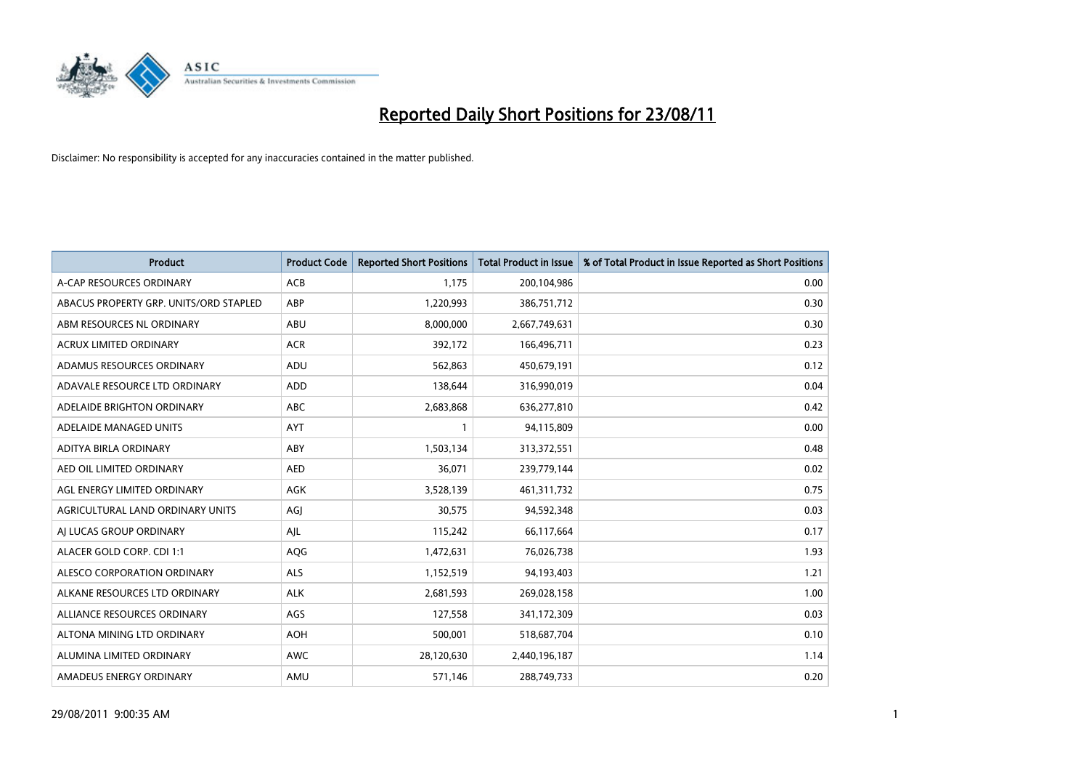

| <b>Product</b>                         | <b>Product Code</b> | <b>Reported Short Positions</b> | <b>Total Product in Issue</b> | % of Total Product in Issue Reported as Short Positions |
|----------------------------------------|---------------------|---------------------------------|-------------------------------|---------------------------------------------------------|
| A-CAP RESOURCES ORDINARY               | <b>ACB</b>          | 1,175                           | 200,104,986                   | 0.00                                                    |
| ABACUS PROPERTY GRP. UNITS/ORD STAPLED | ABP                 | 1,220,993                       | 386,751,712                   | 0.30                                                    |
| ABM RESOURCES NL ORDINARY              | ABU                 | 8,000,000                       | 2,667,749,631                 | 0.30                                                    |
| ACRUX LIMITED ORDINARY                 | <b>ACR</b>          | 392,172                         | 166,496,711                   | 0.23                                                    |
| ADAMUS RESOURCES ORDINARY              | ADU                 | 562,863                         | 450,679,191                   | 0.12                                                    |
| ADAVALE RESOURCE LTD ORDINARY          | <b>ADD</b>          | 138,644                         | 316,990,019                   | 0.04                                                    |
| ADELAIDE BRIGHTON ORDINARY             | <b>ABC</b>          | 2,683,868                       | 636,277,810                   | 0.42                                                    |
| ADELAIDE MANAGED UNITS                 | <b>AYT</b>          |                                 | 94,115,809                    | 0.00                                                    |
| ADITYA BIRLA ORDINARY                  | ABY                 | 1,503,134                       | 313,372,551                   | 0.48                                                    |
| AED OIL LIMITED ORDINARY               | <b>AED</b>          | 36,071                          | 239,779,144                   | 0.02                                                    |
| AGL ENERGY LIMITED ORDINARY            | <b>AGK</b>          | 3,528,139                       | 461,311,732                   | 0.75                                                    |
| AGRICULTURAL LAND ORDINARY UNITS       | AGJ                 | 30,575                          | 94,592,348                    | 0.03                                                    |
| AI LUCAS GROUP ORDINARY                | AJL                 | 115,242                         | 66,117,664                    | 0.17                                                    |
| ALACER GOLD CORP. CDI 1:1              | AQG                 | 1,472,631                       | 76,026,738                    | 1.93                                                    |
| ALESCO CORPORATION ORDINARY            | <b>ALS</b>          | 1,152,519                       | 94,193,403                    | 1.21                                                    |
| ALKANE RESOURCES LTD ORDINARY          | <b>ALK</b>          | 2,681,593                       | 269,028,158                   | 1.00                                                    |
| ALLIANCE RESOURCES ORDINARY            | AGS                 | 127,558                         | 341,172,309                   | 0.03                                                    |
| ALTONA MINING LTD ORDINARY             | <b>AOH</b>          | 500,001                         | 518,687,704                   | 0.10                                                    |
| ALUMINA LIMITED ORDINARY               | <b>AWC</b>          | 28,120,630                      | 2,440,196,187                 | 1.14                                                    |
| AMADEUS ENERGY ORDINARY                | AMU                 | 571,146                         | 288,749,733                   | 0.20                                                    |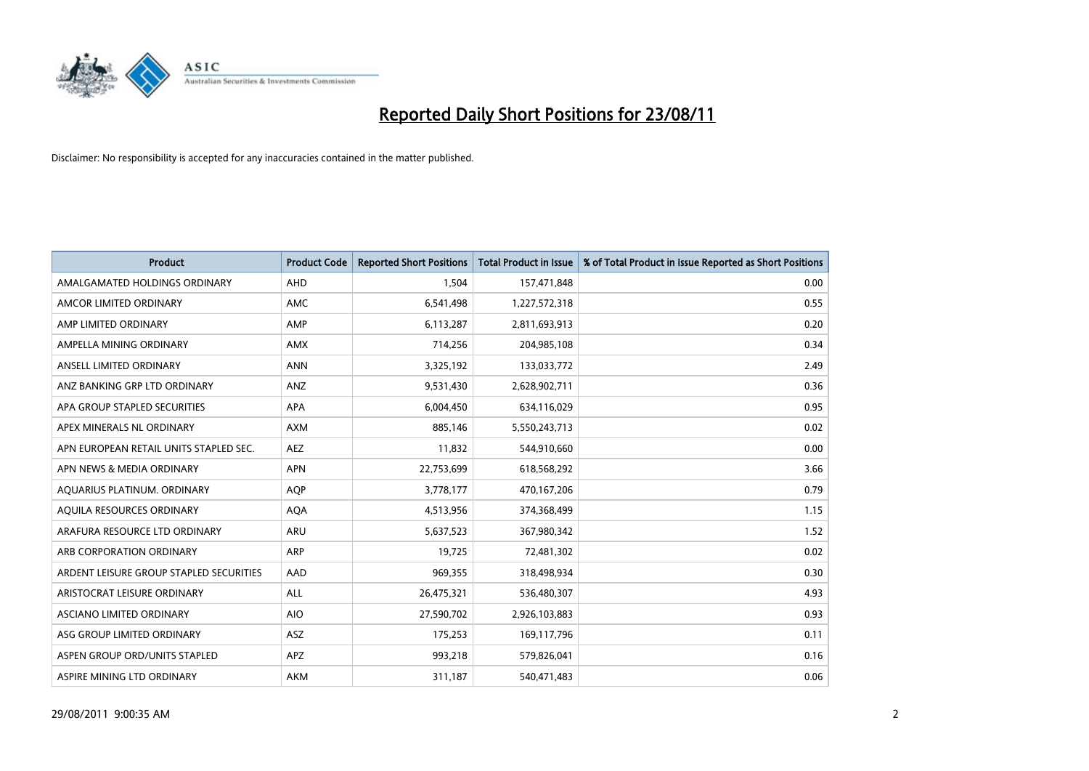

| <b>Product</b>                          | <b>Product Code</b> | <b>Reported Short Positions</b> | <b>Total Product in Issue</b> | % of Total Product in Issue Reported as Short Positions |
|-----------------------------------------|---------------------|---------------------------------|-------------------------------|---------------------------------------------------------|
| AMALGAMATED HOLDINGS ORDINARY           | AHD                 | 1,504                           | 157,471,848                   | 0.00                                                    |
| AMCOR LIMITED ORDINARY                  | <b>AMC</b>          | 6,541,498                       | 1,227,572,318                 | 0.55                                                    |
| AMP LIMITED ORDINARY                    | AMP                 | 6,113,287                       | 2,811,693,913                 | 0.20                                                    |
| AMPELLA MINING ORDINARY                 | <b>AMX</b>          | 714,256                         | 204,985,108                   | 0.34                                                    |
| ANSELL LIMITED ORDINARY                 | <b>ANN</b>          | 3,325,192                       | 133,033,772                   | 2.49                                                    |
| ANZ BANKING GRP LTD ORDINARY            | ANZ                 | 9,531,430                       | 2,628,902,711                 | 0.36                                                    |
| APA GROUP STAPLED SECURITIES            | <b>APA</b>          | 6,004,450                       | 634,116,029                   | 0.95                                                    |
| APEX MINERALS NL ORDINARY               | <b>AXM</b>          | 885,146                         | 5,550,243,713                 | 0.02                                                    |
| APN EUROPEAN RETAIL UNITS STAPLED SEC.  | <b>AEZ</b>          | 11,832                          | 544,910,660                   | 0.00                                                    |
| APN NEWS & MEDIA ORDINARY               | <b>APN</b>          | 22,753,699                      | 618,568,292                   | 3.66                                                    |
| AQUARIUS PLATINUM. ORDINARY             | <b>AQP</b>          | 3,778,177                       | 470,167,206                   | 0.79                                                    |
| AOUILA RESOURCES ORDINARY               | <b>AQA</b>          | 4,513,956                       | 374,368,499                   | 1.15                                                    |
| ARAFURA RESOURCE LTD ORDINARY           | <b>ARU</b>          | 5,637,523                       | 367,980,342                   | 1.52                                                    |
| ARB CORPORATION ORDINARY                | <b>ARP</b>          | 19,725                          | 72,481,302                    | 0.02                                                    |
| ARDENT LEISURE GROUP STAPLED SECURITIES | AAD                 | 969,355                         | 318,498,934                   | 0.30                                                    |
| ARISTOCRAT LEISURE ORDINARY             | <b>ALL</b>          | 26,475,321                      | 536,480,307                   | 4.93                                                    |
| ASCIANO LIMITED ORDINARY                | <b>AIO</b>          | 27,590,702                      | 2,926,103,883                 | 0.93                                                    |
| ASG GROUP LIMITED ORDINARY              | <b>ASZ</b>          | 175,253                         | 169,117,796                   | 0.11                                                    |
| ASPEN GROUP ORD/UNITS STAPLED           | APZ                 | 993,218                         | 579,826,041                   | 0.16                                                    |
| ASPIRE MINING LTD ORDINARY              | <b>AKM</b>          | 311,187                         | 540,471,483                   | 0.06                                                    |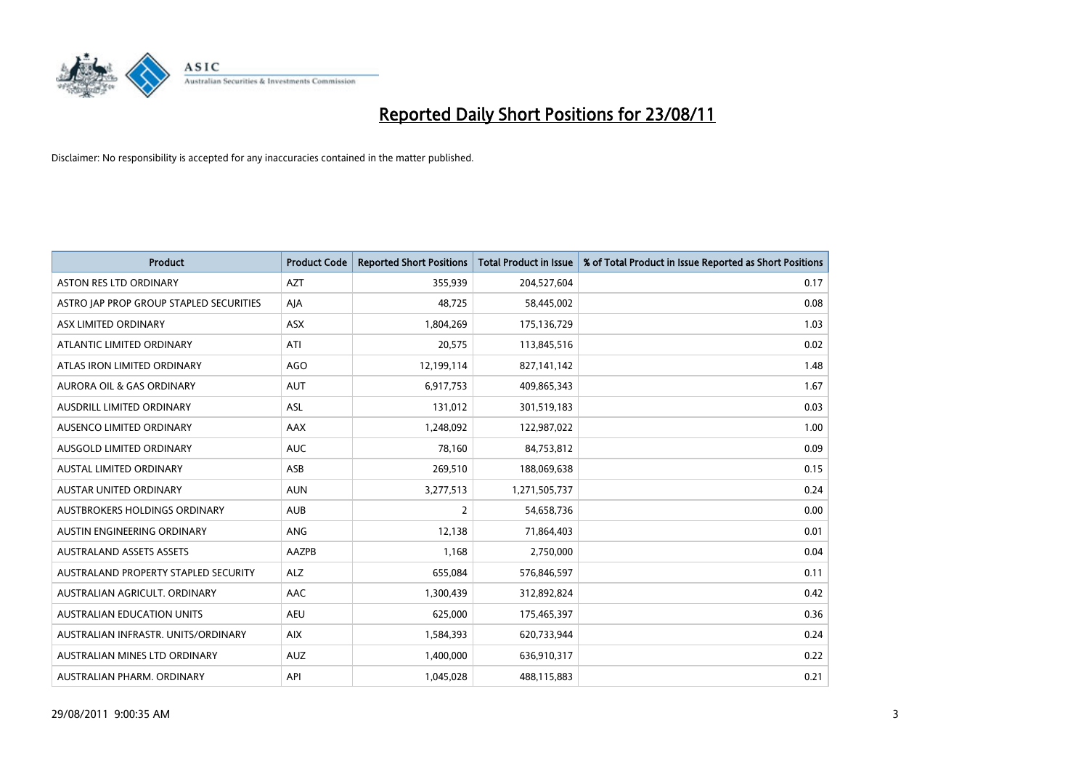

| <b>Product</b>                          | <b>Product Code</b> | <b>Reported Short Positions</b> | Total Product in Issue | % of Total Product in Issue Reported as Short Positions |
|-----------------------------------------|---------------------|---------------------------------|------------------------|---------------------------------------------------------|
| <b>ASTON RES LTD ORDINARY</b>           | <b>AZT</b>          | 355,939                         | 204,527,604            | 0.17                                                    |
| ASTRO JAP PROP GROUP STAPLED SECURITIES | AJA                 | 48,725                          | 58,445,002             | 0.08                                                    |
| ASX LIMITED ORDINARY                    | <b>ASX</b>          | 1,804,269                       | 175,136,729            | 1.03                                                    |
| ATLANTIC LIMITED ORDINARY               | ATI                 | 20,575                          | 113,845,516            | 0.02                                                    |
| ATLAS IRON LIMITED ORDINARY             | <b>AGO</b>          | 12,199,114                      | 827,141,142            | 1.48                                                    |
| <b>AURORA OIL &amp; GAS ORDINARY</b>    | <b>AUT</b>          | 6,917,753                       | 409,865,343            | 1.67                                                    |
| AUSDRILL LIMITED ORDINARY               | <b>ASL</b>          | 131,012                         | 301,519,183            | 0.03                                                    |
| AUSENCO LIMITED ORDINARY                | <b>AAX</b>          | 1,248,092                       | 122,987,022            | 1.00                                                    |
| AUSGOLD LIMITED ORDINARY                | <b>AUC</b>          | 78,160                          | 84,753,812             | 0.09                                                    |
| <b>AUSTAL LIMITED ORDINARY</b>          | ASB                 | 269,510                         | 188,069,638            | 0.15                                                    |
| AUSTAR UNITED ORDINARY                  | <b>AUN</b>          | 3,277,513                       | 1,271,505,737          | 0.24                                                    |
| <b>AUSTBROKERS HOLDINGS ORDINARY</b>    | <b>AUB</b>          | 2                               | 54,658,736             | 0.00                                                    |
| AUSTIN ENGINEERING ORDINARY             | ANG                 | 12,138                          | 71,864,403             | 0.01                                                    |
| <b>AUSTRALAND ASSETS ASSETS</b>         | AAZPB               | 1,168                           | 2,750,000              | 0.04                                                    |
| AUSTRALAND PROPERTY STAPLED SECURITY    | <b>ALZ</b>          | 655,084                         | 576,846,597            | 0.11                                                    |
| AUSTRALIAN AGRICULT. ORDINARY           | AAC                 | 1,300,439                       | 312,892,824            | 0.42                                                    |
| AUSTRALIAN EDUCATION UNITS              | <b>AEU</b>          | 625,000                         | 175,465,397            | 0.36                                                    |
| AUSTRALIAN INFRASTR. UNITS/ORDINARY     | <b>AIX</b>          | 1,584,393                       | 620,733,944            | 0.24                                                    |
| AUSTRALIAN MINES LTD ORDINARY           | <b>AUZ</b>          | 1,400,000                       | 636,910,317            | 0.22                                                    |
| AUSTRALIAN PHARM. ORDINARY              | API                 | 1,045,028                       | 488,115,883            | 0.21                                                    |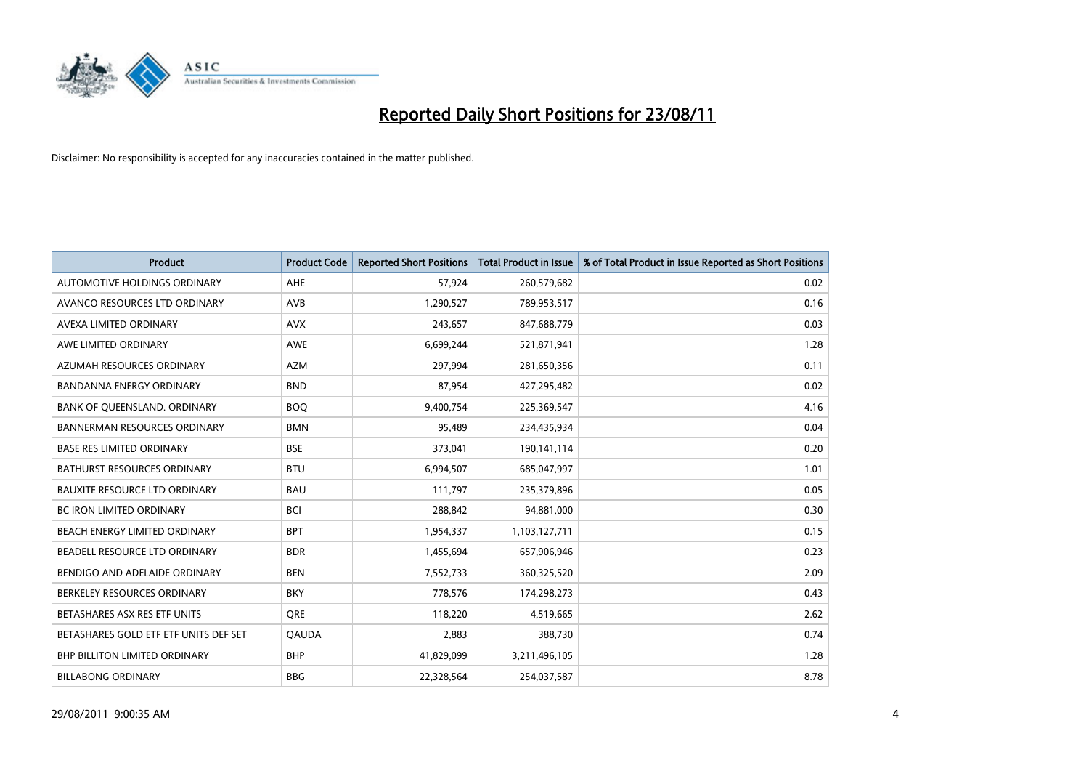

| <b>Product</b>                        | <b>Product Code</b> | <b>Reported Short Positions</b> | <b>Total Product in Issue</b> | % of Total Product in Issue Reported as Short Positions |
|---------------------------------------|---------------------|---------------------------------|-------------------------------|---------------------------------------------------------|
| AUTOMOTIVE HOLDINGS ORDINARY          | AHE                 | 57,924                          | 260,579,682                   | 0.02                                                    |
| AVANCO RESOURCES LTD ORDINARY         | AVB                 | 1,290,527                       | 789,953,517                   | 0.16                                                    |
| AVEXA LIMITED ORDINARY                | <b>AVX</b>          | 243,657                         | 847,688,779                   | 0.03                                                    |
| AWE LIMITED ORDINARY                  | AWE                 | 6,699,244                       | 521,871,941                   | 1.28                                                    |
| AZUMAH RESOURCES ORDINARY             | <b>AZM</b>          | 297,994                         | 281,650,356                   | 0.11                                                    |
| <b>BANDANNA ENERGY ORDINARY</b>       | <b>BND</b>          | 87,954                          | 427,295,482                   | 0.02                                                    |
| BANK OF QUEENSLAND. ORDINARY          | <b>BOO</b>          | 9,400,754                       | 225,369,547                   | 4.16                                                    |
| <b>BANNERMAN RESOURCES ORDINARY</b>   | <b>BMN</b>          | 95,489                          | 234,435,934                   | 0.04                                                    |
| <b>BASE RES LIMITED ORDINARY</b>      | <b>BSE</b>          | 373,041                         | 190,141,114                   | 0.20                                                    |
| <b>BATHURST RESOURCES ORDINARY</b>    | <b>BTU</b>          | 6,994,507                       | 685,047,997                   | 1.01                                                    |
| <b>BAUXITE RESOURCE LTD ORDINARY</b>  | <b>BAU</b>          | 111,797                         | 235,379,896                   | 0.05                                                    |
| <b>BC IRON LIMITED ORDINARY</b>       | <b>BCI</b>          | 288,842                         | 94,881,000                    | 0.30                                                    |
| BEACH ENERGY LIMITED ORDINARY         | <b>BPT</b>          | 1,954,337                       | 1,103,127,711                 | 0.15                                                    |
| BEADELL RESOURCE LTD ORDINARY         | <b>BDR</b>          | 1,455,694                       | 657,906,946                   | 0.23                                                    |
| BENDIGO AND ADELAIDE ORDINARY         | <b>BEN</b>          | 7,552,733                       | 360,325,520                   | 2.09                                                    |
| BERKELEY RESOURCES ORDINARY           | <b>BKY</b>          | 778,576                         | 174,298,273                   | 0.43                                                    |
| BETASHARES ASX RES ETF UNITS          | <b>ORE</b>          | 118,220                         | 4,519,665                     | 2.62                                                    |
| BETASHARES GOLD ETF ETF UNITS DEF SET | <b>QAUDA</b>        | 2,883                           | 388,730                       | 0.74                                                    |
| <b>BHP BILLITON LIMITED ORDINARY</b>  | <b>BHP</b>          | 41,829,099                      | 3,211,496,105                 | 1.28                                                    |
| <b>BILLABONG ORDINARY</b>             | <b>BBG</b>          | 22,328,564                      | 254,037,587                   | 8.78                                                    |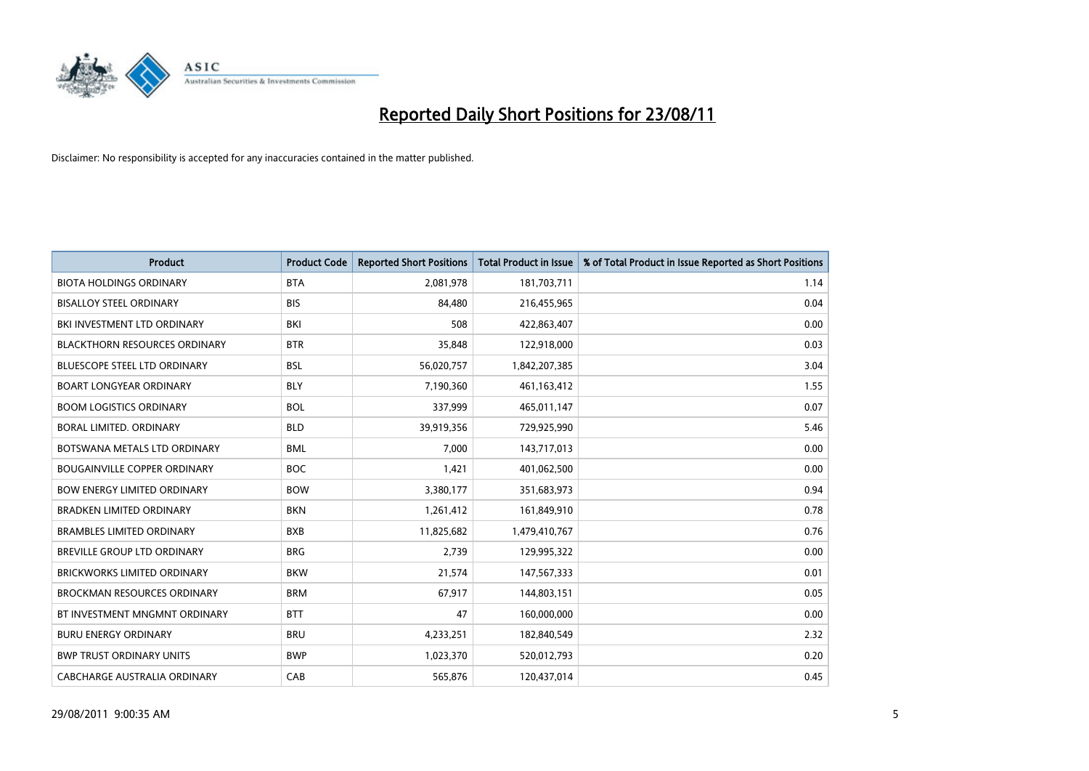

| <b>Product</b>                       | <b>Product Code</b> | <b>Reported Short Positions</b> | Total Product in Issue | % of Total Product in Issue Reported as Short Positions |
|--------------------------------------|---------------------|---------------------------------|------------------------|---------------------------------------------------------|
| <b>BIOTA HOLDINGS ORDINARY</b>       | <b>BTA</b>          | 2,081,978                       | 181,703,711            | 1.14                                                    |
| <b>BISALLOY STEEL ORDINARY</b>       | <b>BIS</b>          | 84,480                          | 216,455,965            | 0.04                                                    |
| BKI INVESTMENT LTD ORDINARY          | BKI                 | 508                             | 422,863,407            | 0.00                                                    |
| <b>BLACKTHORN RESOURCES ORDINARY</b> | <b>BTR</b>          | 35,848                          | 122,918,000            | 0.03                                                    |
| <b>BLUESCOPE STEEL LTD ORDINARY</b>  | <b>BSL</b>          | 56,020,757                      | 1,842,207,385          | 3.04                                                    |
| <b>BOART LONGYEAR ORDINARY</b>       | <b>BLY</b>          | 7,190,360                       | 461,163,412            | 1.55                                                    |
| <b>BOOM LOGISTICS ORDINARY</b>       | <b>BOL</b>          | 337,999                         | 465,011,147            | 0.07                                                    |
| <b>BORAL LIMITED, ORDINARY</b>       | <b>BLD</b>          | 39,919,356                      | 729,925,990            | 5.46                                                    |
| BOTSWANA METALS LTD ORDINARY         | <b>BML</b>          | 7,000                           | 143,717,013            | 0.00                                                    |
| <b>BOUGAINVILLE COPPER ORDINARY</b>  | <b>BOC</b>          | 1,421                           | 401,062,500            | 0.00                                                    |
| <b>BOW ENERGY LIMITED ORDINARY</b>   | <b>BOW</b>          | 3,380,177                       | 351,683,973            | 0.94                                                    |
| <b>BRADKEN LIMITED ORDINARY</b>      | <b>BKN</b>          | 1,261,412                       | 161,849,910            | 0.78                                                    |
| <b>BRAMBLES LIMITED ORDINARY</b>     | <b>BXB</b>          | 11,825,682                      | 1,479,410,767          | 0.76                                                    |
| <b>BREVILLE GROUP LTD ORDINARY</b>   | <b>BRG</b>          | 2,739                           | 129,995,322            | 0.00                                                    |
| <b>BRICKWORKS LIMITED ORDINARY</b>   | <b>BKW</b>          | 21,574                          | 147,567,333            | 0.01                                                    |
| <b>BROCKMAN RESOURCES ORDINARY</b>   | <b>BRM</b>          | 67,917                          | 144,803,151            | 0.05                                                    |
| BT INVESTMENT MNGMNT ORDINARY        | <b>BTT</b>          | 47                              | 160,000,000            | 0.00                                                    |
| <b>BURU ENERGY ORDINARY</b>          | <b>BRU</b>          | 4,233,251                       | 182,840,549            | 2.32                                                    |
| <b>BWP TRUST ORDINARY UNITS</b>      | <b>BWP</b>          | 1,023,370                       | 520,012,793            | 0.20                                                    |
| CABCHARGE AUSTRALIA ORDINARY         | CAB                 | 565,876                         | 120,437,014            | 0.45                                                    |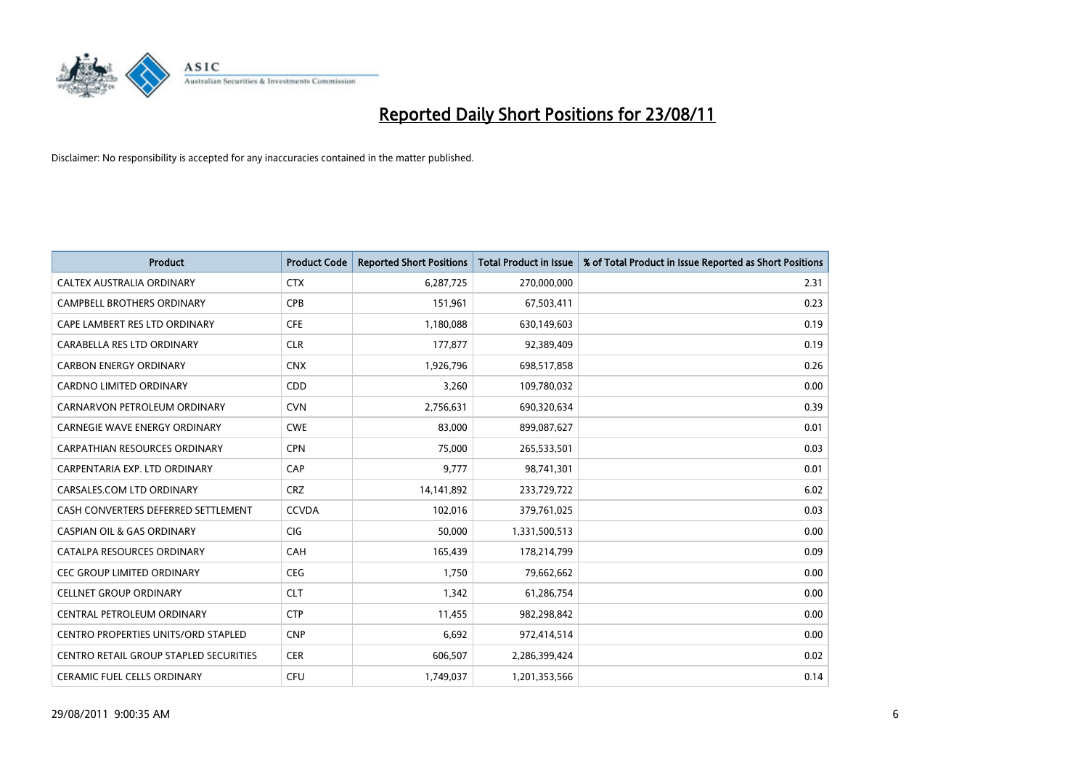

| <b>Product</b>                                | <b>Product Code</b> | <b>Reported Short Positions</b> | <b>Total Product in Issue</b> | % of Total Product in Issue Reported as Short Positions |
|-----------------------------------------------|---------------------|---------------------------------|-------------------------------|---------------------------------------------------------|
| CALTEX AUSTRALIA ORDINARY                     | <b>CTX</b>          | 6,287,725                       | 270,000,000                   | 2.31                                                    |
| CAMPBELL BROTHERS ORDINARY                    | <b>CPB</b>          | 151,961                         | 67,503,411                    | 0.23                                                    |
| CAPE LAMBERT RES LTD ORDINARY                 | <b>CFE</b>          | 1,180,088                       | 630,149,603                   | 0.19                                                    |
| CARABELLA RES LTD ORDINARY                    | <b>CLR</b>          | 177,877                         | 92,389,409                    | 0.19                                                    |
| <b>CARBON ENERGY ORDINARY</b>                 | <b>CNX</b>          | 1,926,796                       | 698,517,858                   | 0.26                                                    |
| <b>CARDNO LIMITED ORDINARY</b>                | CDD                 | 3,260                           | 109,780,032                   | 0.00                                                    |
| CARNARVON PETROLEUM ORDINARY                  | <b>CVN</b>          | 2,756,631                       | 690,320,634                   | 0.39                                                    |
| <b>CARNEGIE WAVE ENERGY ORDINARY</b>          | <b>CWE</b>          | 83,000                          | 899,087,627                   | 0.01                                                    |
| CARPATHIAN RESOURCES ORDINARY                 | <b>CPN</b>          | 75,000                          | 265,533,501                   | 0.03                                                    |
| CARPENTARIA EXP. LTD ORDINARY                 | CAP                 | 9,777                           | 98,741,301                    | 0.01                                                    |
| CARSALES.COM LTD ORDINARY                     | <b>CRZ</b>          | 14,141,892                      | 233,729,722                   | 6.02                                                    |
| CASH CONVERTERS DEFERRED SETTLEMENT           | <b>CCVDA</b>        | 102,016                         | 379,761,025                   | 0.03                                                    |
| <b>CASPIAN OIL &amp; GAS ORDINARY</b>         | <b>CIG</b>          | 50,000                          | 1,331,500,513                 | 0.00                                                    |
| CATALPA RESOURCES ORDINARY                    | CAH                 | 165,439                         | 178,214,799                   | 0.09                                                    |
| <b>CEC GROUP LIMITED ORDINARY</b>             | <b>CEG</b>          | 1,750                           | 79,662,662                    | 0.00                                                    |
| <b>CELLNET GROUP ORDINARY</b>                 | <b>CLT</b>          | 1,342                           | 61,286,754                    | 0.00                                                    |
| CENTRAL PETROLEUM ORDINARY                    | <b>CTP</b>          | 11,455                          | 982,298,842                   | 0.00                                                    |
| <b>CENTRO PROPERTIES UNITS/ORD STAPLED</b>    | <b>CNP</b>          | 6,692                           | 972,414,514                   | 0.00                                                    |
| <b>CENTRO RETAIL GROUP STAPLED SECURITIES</b> | <b>CER</b>          | 606,507                         | 2,286,399,424                 | 0.02                                                    |
| <b>CERAMIC FUEL CELLS ORDINARY</b>            | CFU                 | 1,749,037                       | 1,201,353,566                 | 0.14                                                    |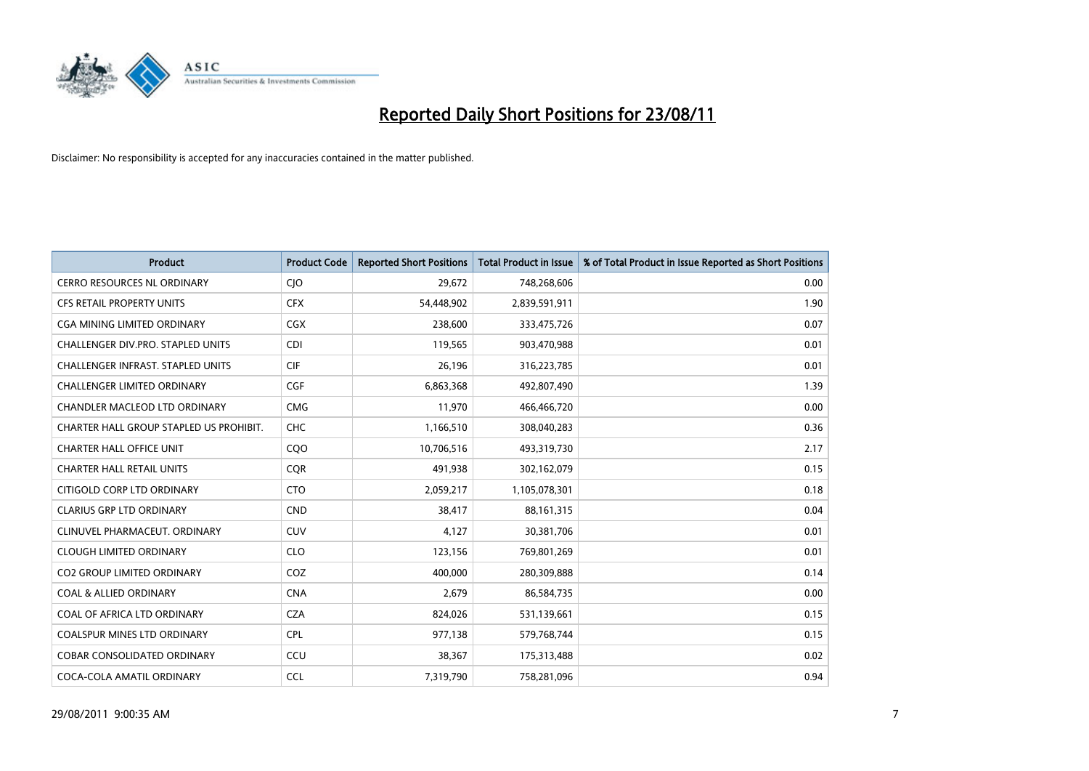

| <b>Product</b>                           | <b>Product Code</b> | <b>Reported Short Positions</b> | <b>Total Product in Issue</b> | % of Total Product in Issue Reported as Short Positions |
|------------------------------------------|---------------------|---------------------------------|-------------------------------|---------------------------------------------------------|
| <b>CERRO RESOURCES NL ORDINARY</b>       | CJO                 | 29,672                          | 748,268,606                   | 0.00                                                    |
| <b>CFS RETAIL PROPERTY UNITS</b>         | <b>CFX</b>          | 54,448,902                      | 2,839,591,911                 | 1.90                                                    |
| CGA MINING LIMITED ORDINARY              | <b>CGX</b>          | 238,600                         | 333,475,726                   | 0.07                                                    |
| CHALLENGER DIV.PRO. STAPLED UNITS        | <b>CDI</b>          | 119,565                         | 903,470,988                   | 0.01                                                    |
| <b>CHALLENGER INFRAST, STAPLED UNITS</b> | <b>CIF</b>          | 26,196                          | 316,223,785                   | 0.01                                                    |
| <b>CHALLENGER LIMITED ORDINARY</b>       | CGF                 | 6,863,368                       | 492,807,490                   | 1.39                                                    |
| CHANDLER MACLEOD LTD ORDINARY            | <b>CMG</b>          | 11,970                          | 466,466,720                   | 0.00                                                    |
| CHARTER HALL GROUP STAPLED US PROHIBIT.  | <b>CHC</b>          | 1,166,510                       | 308,040,283                   | 0.36                                                    |
| <b>CHARTER HALL OFFICE UNIT</b>          | CQO                 | 10,706,516                      | 493,319,730                   | 2.17                                                    |
| <b>CHARTER HALL RETAIL UNITS</b>         | <b>COR</b>          | 491,938                         | 302,162,079                   | 0.15                                                    |
| CITIGOLD CORP LTD ORDINARY               | <b>CTO</b>          | 2,059,217                       | 1,105,078,301                 | 0.18                                                    |
| <b>CLARIUS GRP LTD ORDINARY</b>          | <b>CND</b>          | 38,417                          | 88,161,315                    | 0.04                                                    |
| CLINUVEL PHARMACEUT, ORDINARY            | <b>CUV</b>          | 4.127                           | 30,381,706                    | 0.01                                                    |
| <b>CLOUGH LIMITED ORDINARY</b>           | <b>CLO</b>          | 123,156                         | 769,801,269                   | 0.01                                                    |
| <b>CO2 GROUP LIMITED ORDINARY</b>        | COZ                 | 400,000                         | 280,309,888                   | 0.14                                                    |
| <b>COAL &amp; ALLIED ORDINARY</b>        | <b>CNA</b>          | 2,679                           | 86,584,735                    | 0.00                                                    |
| COAL OF AFRICA LTD ORDINARY              | <b>CZA</b>          | 824,026                         | 531,139,661                   | 0.15                                                    |
| COALSPUR MINES LTD ORDINARY              | <b>CPL</b>          | 977,138                         | 579,768,744                   | 0.15                                                    |
| <b>COBAR CONSOLIDATED ORDINARY</b>       | CCU                 | 38,367                          | 175,313,488                   | 0.02                                                    |
| COCA-COLA AMATIL ORDINARY                | <b>CCL</b>          | 7,319,790                       | 758,281,096                   | 0.94                                                    |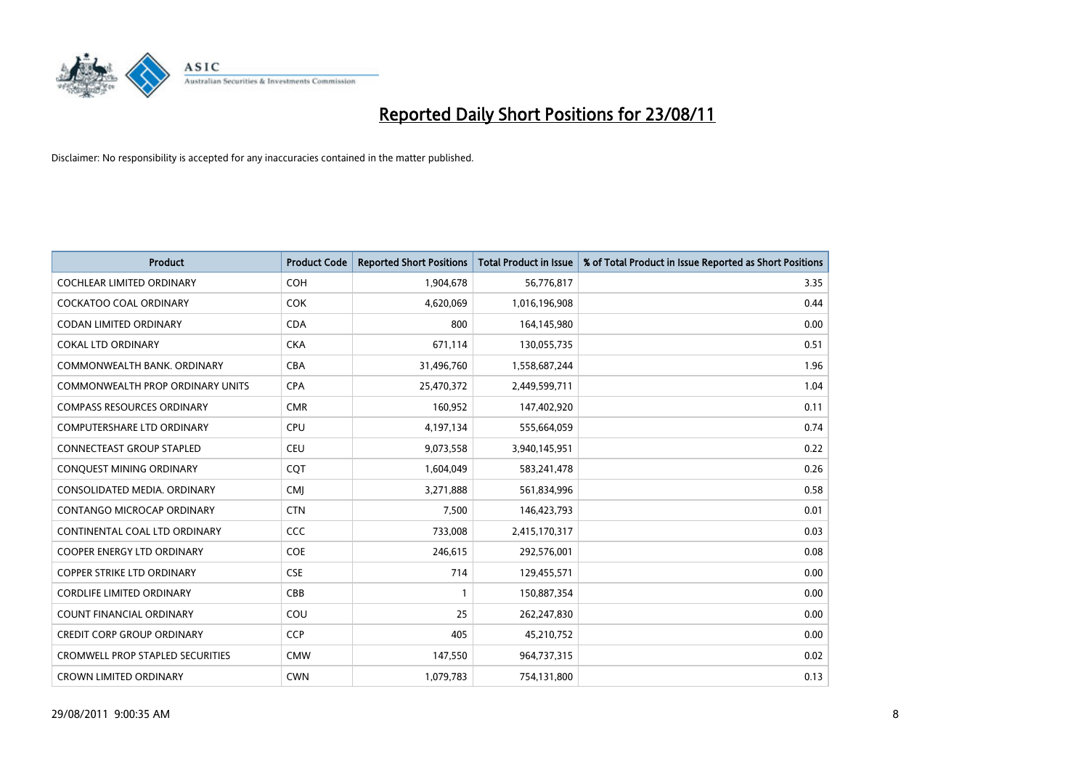

| <b>Product</b>                          | <b>Product Code</b> | <b>Reported Short Positions</b> | <b>Total Product in Issue</b> | % of Total Product in Issue Reported as Short Positions |
|-----------------------------------------|---------------------|---------------------------------|-------------------------------|---------------------------------------------------------|
| <b>COCHLEAR LIMITED ORDINARY</b>        | <b>COH</b>          | 1,904,678                       | 56,776,817                    | 3.35                                                    |
| COCKATOO COAL ORDINARY                  | <b>COK</b>          | 4,620,069                       | 1,016,196,908                 | 0.44                                                    |
| <b>CODAN LIMITED ORDINARY</b>           | <b>CDA</b>          | 800                             | 164,145,980                   | 0.00                                                    |
| <b>COKAL LTD ORDINARY</b>               | <b>CKA</b>          | 671,114                         | 130,055,735                   | 0.51                                                    |
| COMMONWEALTH BANK, ORDINARY             | <b>CBA</b>          | 31,496,760                      | 1,558,687,244                 | 1.96                                                    |
| <b>COMMONWEALTH PROP ORDINARY UNITS</b> | <b>CPA</b>          | 25,470,372                      | 2,449,599,711                 | 1.04                                                    |
| <b>COMPASS RESOURCES ORDINARY</b>       | <b>CMR</b>          | 160,952                         | 147,402,920                   | 0.11                                                    |
| <b>COMPUTERSHARE LTD ORDINARY</b>       | <b>CPU</b>          | 4,197,134                       | 555,664,059                   | 0.74                                                    |
| CONNECTEAST GROUP STAPLED               | <b>CEU</b>          | 9,073,558                       | 3,940,145,951                 | 0.22                                                    |
| CONQUEST MINING ORDINARY                | CQT                 | 1,604,049                       | 583,241,478                   | 0.26                                                    |
| CONSOLIDATED MEDIA, ORDINARY            | <b>CMI</b>          | 3,271,888                       | 561,834,996                   | 0.58                                                    |
| CONTANGO MICROCAP ORDINARY              | <b>CTN</b>          | 7,500                           | 146,423,793                   | 0.01                                                    |
| CONTINENTAL COAL LTD ORDINARY           | CCC                 | 733,008                         | 2,415,170,317                 | 0.03                                                    |
| <b>COOPER ENERGY LTD ORDINARY</b>       | <b>COE</b>          | 246,615                         | 292,576,001                   | 0.08                                                    |
| <b>COPPER STRIKE LTD ORDINARY</b>       | <b>CSE</b>          | 714                             | 129,455,571                   | 0.00                                                    |
| <b>CORDLIFE LIMITED ORDINARY</b>        | CBB                 |                                 | 150,887,354                   | 0.00                                                    |
| <b>COUNT FINANCIAL ORDINARY</b>         | COU                 | 25                              | 262,247,830                   | 0.00                                                    |
| <b>CREDIT CORP GROUP ORDINARY</b>       | <b>CCP</b>          | 405                             | 45,210,752                    | 0.00                                                    |
| <b>CROMWELL PROP STAPLED SECURITIES</b> | <b>CMW</b>          | 147,550                         | 964,737,315                   | 0.02                                                    |
| <b>CROWN LIMITED ORDINARY</b>           | <b>CWN</b>          | 1,079,783                       | 754,131,800                   | 0.13                                                    |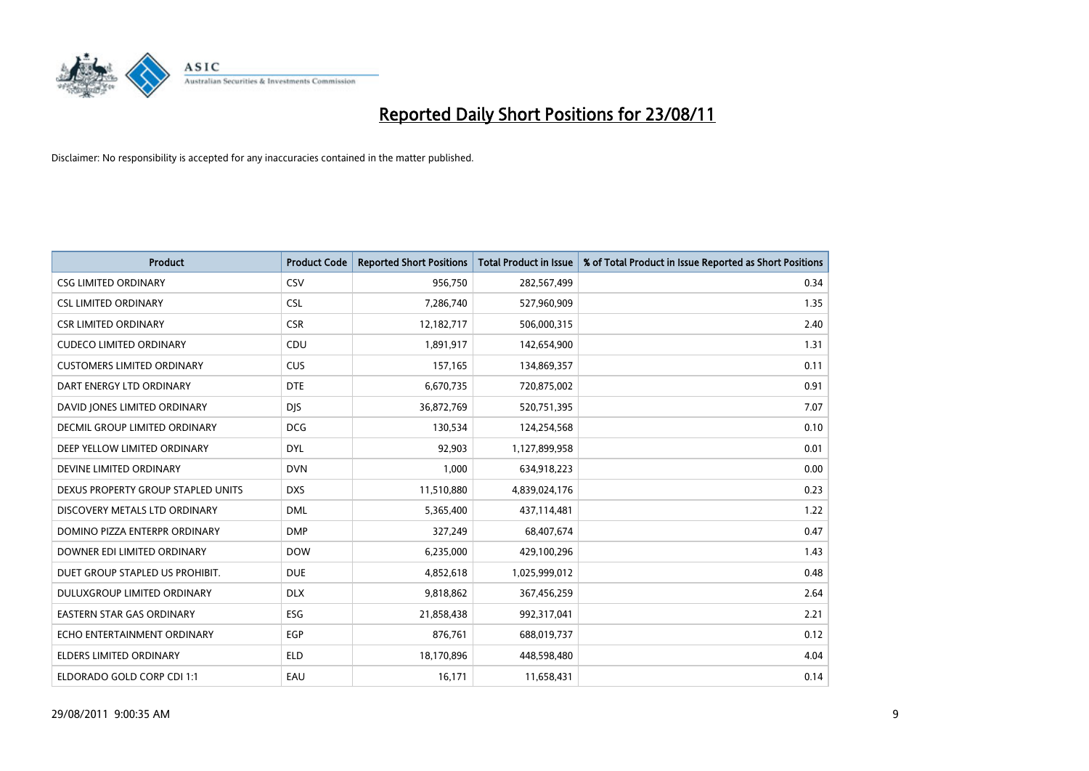

| <b>Product</b>                       | <b>Product Code</b> | <b>Reported Short Positions</b> | <b>Total Product in Issue</b> | % of Total Product in Issue Reported as Short Positions |
|--------------------------------------|---------------------|---------------------------------|-------------------------------|---------------------------------------------------------|
| <b>CSG LIMITED ORDINARY</b>          | CSV                 | 956,750                         | 282,567,499                   | 0.34                                                    |
| <b>CSL LIMITED ORDINARY</b>          | <b>CSL</b>          | 7,286,740                       | 527,960,909                   | 1.35                                                    |
| <b>CSR LIMITED ORDINARY</b>          | <b>CSR</b>          | 12,182,717                      | 506,000,315                   | 2.40                                                    |
| <b>CUDECO LIMITED ORDINARY</b>       | <b>CDU</b>          | 1,891,917                       | 142,654,900                   | 1.31                                                    |
| <b>CUSTOMERS LIMITED ORDINARY</b>    | <b>CUS</b>          | 157,165                         | 134,869,357                   | 0.11                                                    |
| DART ENERGY LTD ORDINARY             | <b>DTE</b>          | 6,670,735                       | 720,875,002                   | 0.91                                                    |
| DAVID JONES LIMITED ORDINARY         | <b>DIS</b>          | 36,872,769                      | 520,751,395                   | 7.07                                                    |
| <b>DECMIL GROUP LIMITED ORDINARY</b> | <b>DCG</b>          | 130,534                         | 124,254,568                   | 0.10                                                    |
| DEEP YELLOW LIMITED ORDINARY         | <b>DYL</b>          | 92,903                          | 1,127,899,958                 | 0.01                                                    |
| DEVINE LIMITED ORDINARY              | <b>DVN</b>          | 1,000                           | 634,918,223                   | 0.00                                                    |
| DEXUS PROPERTY GROUP STAPLED UNITS   | <b>DXS</b>          | 11,510,880                      | 4,839,024,176                 | 0.23                                                    |
| DISCOVERY METALS LTD ORDINARY        | <b>DML</b>          | 5,365,400                       | 437,114,481                   | 1.22                                                    |
| DOMINO PIZZA ENTERPR ORDINARY        | <b>DMP</b>          | 327,249                         | 68,407,674                    | 0.47                                                    |
| DOWNER EDI LIMITED ORDINARY          | <b>DOW</b>          | 6,235,000                       | 429,100,296                   | 1.43                                                    |
| DUET GROUP STAPLED US PROHIBIT.      | <b>DUE</b>          | 4,852,618                       | 1,025,999,012                 | 0.48                                                    |
| DULUXGROUP LIMITED ORDINARY          | <b>DLX</b>          | 9,818,862                       | 367,456,259                   | 2.64                                                    |
| <b>EASTERN STAR GAS ORDINARY</b>     | ESG                 | 21,858,438                      | 992,317,041                   | 2.21                                                    |
| ECHO ENTERTAINMENT ORDINARY          | <b>EGP</b>          | 876,761                         | 688,019,737                   | 0.12                                                    |
| <b>ELDERS LIMITED ORDINARY</b>       | <b>ELD</b>          | 18,170,896                      | 448,598,480                   | 4.04                                                    |
| ELDORADO GOLD CORP CDI 1:1           | EAU                 | 16,171                          | 11,658,431                    | 0.14                                                    |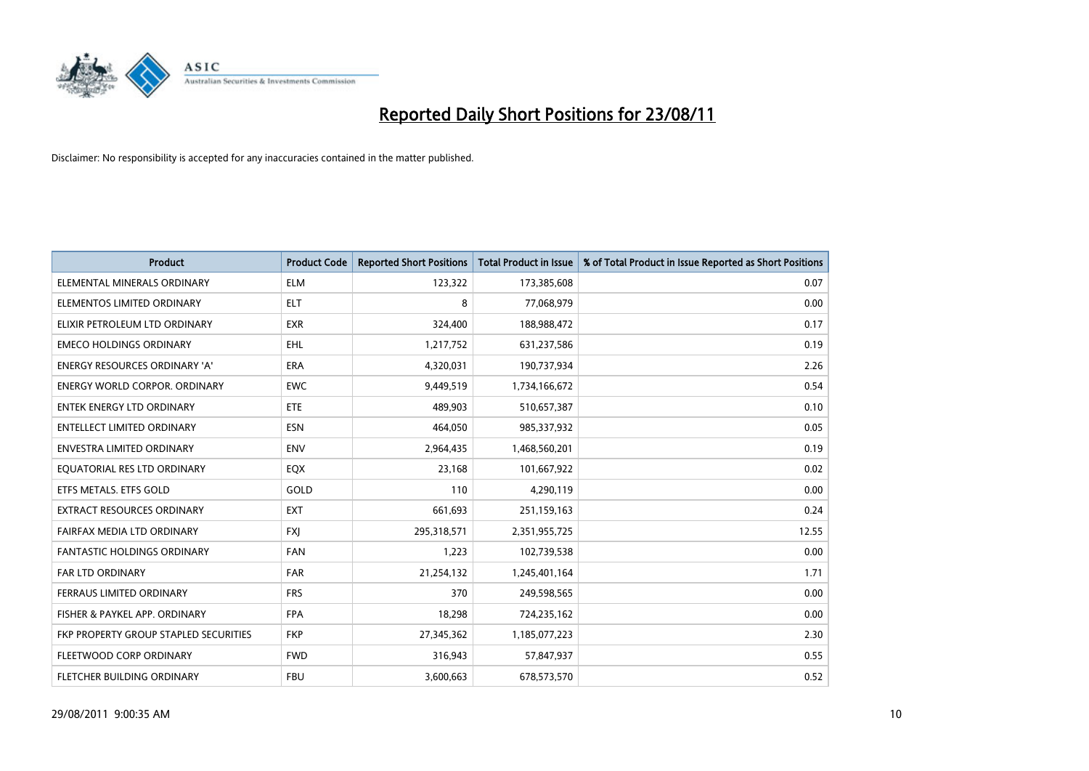

| <b>Product</b>                        | <b>Product Code</b> | <b>Reported Short Positions</b> | <b>Total Product in Issue</b> | % of Total Product in Issue Reported as Short Positions |
|---------------------------------------|---------------------|---------------------------------|-------------------------------|---------------------------------------------------------|
| ELEMENTAL MINERALS ORDINARY           | <b>ELM</b>          | 123,322                         | 173,385,608                   | 0.07                                                    |
| ELEMENTOS LIMITED ORDINARY            | <b>ELT</b>          | 8                               | 77,068,979                    | 0.00                                                    |
| ELIXIR PETROLEUM LTD ORDINARY         | <b>EXR</b>          | 324,400                         | 188,988,472                   | 0.17                                                    |
| <b>EMECO HOLDINGS ORDINARY</b>        | <b>EHL</b>          | 1,217,752                       | 631,237,586                   | 0.19                                                    |
| <b>ENERGY RESOURCES ORDINARY 'A'</b>  | <b>ERA</b>          | 4,320,031                       | 190,737,934                   | 2.26                                                    |
| <b>ENERGY WORLD CORPOR, ORDINARY</b>  | <b>EWC</b>          | 9,449,519                       | 1,734,166,672                 | 0.54                                                    |
| <b>ENTEK ENERGY LTD ORDINARY</b>      | ETE                 | 489,903                         | 510,657,387                   | 0.10                                                    |
| <b>ENTELLECT LIMITED ORDINARY</b>     | <b>ESN</b>          | 464,050                         | 985,337,932                   | 0.05                                                    |
| <b>ENVESTRA LIMITED ORDINARY</b>      | <b>ENV</b>          | 2,964,435                       | 1,468,560,201                 | 0.19                                                    |
| EOUATORIAL RES LTD ORDINARY           | EQX                 | 23,168                          | 101,667,922                   | 0.02                                                    |
| ETFS METALS. ETFS GOLD                | GOLD                | 110                             | 4,290,119                     | 0.00                                                    |
| <b>EXTRACT RESOURCES ORDINARY</b>     | <b>EXT</b>          | 661,693                         | 251,159,163                   | 0.24                                                    |
| FAIRFAX MEDIA LTD ORDINARY            | <b>FXI</b>          | 295,318,571                     | 2,351,955,725                 | 12.55                                                   |
| <b>FANTASTIC HOLDINGS ORDINARY</b>    | <b>FAN</b>          | 1,223                           | 102,739,538                   | 0.00                                                    |
| <b>FAR LTD ORDINARY</b>               | <b>FAR</b>          | 21,254,132                      | 1,245,401,164                 | 1.71                                                    |
| FERRAUS LIMITED ORDINARY              | <b>FRS</b>          | 370                             | 249,598,565                   | 0.00                                                    |
| FISHER & PAYKEL APP. ORDINARY         | <b>FPA</b>          | 18,298                          | 724,235,162                   | 0.00                                                    |
| FKP PROPERTY GROUP STAPLED SECURITIES | <b>FKP</b>          | 27,345,362                      | 1,185,077,223                 | 2.30                                                    |
| FLEETWOOD CORP ORDINARY               | <b>FWD</b>          | 316,943                         | 57,847,937                    | 0.55                                                    |
| FLETCHER BUILDING ORDINARY            | <b>FBU</b>          | 3,600,663                       | 678,573,570                   | 0.52                                                    |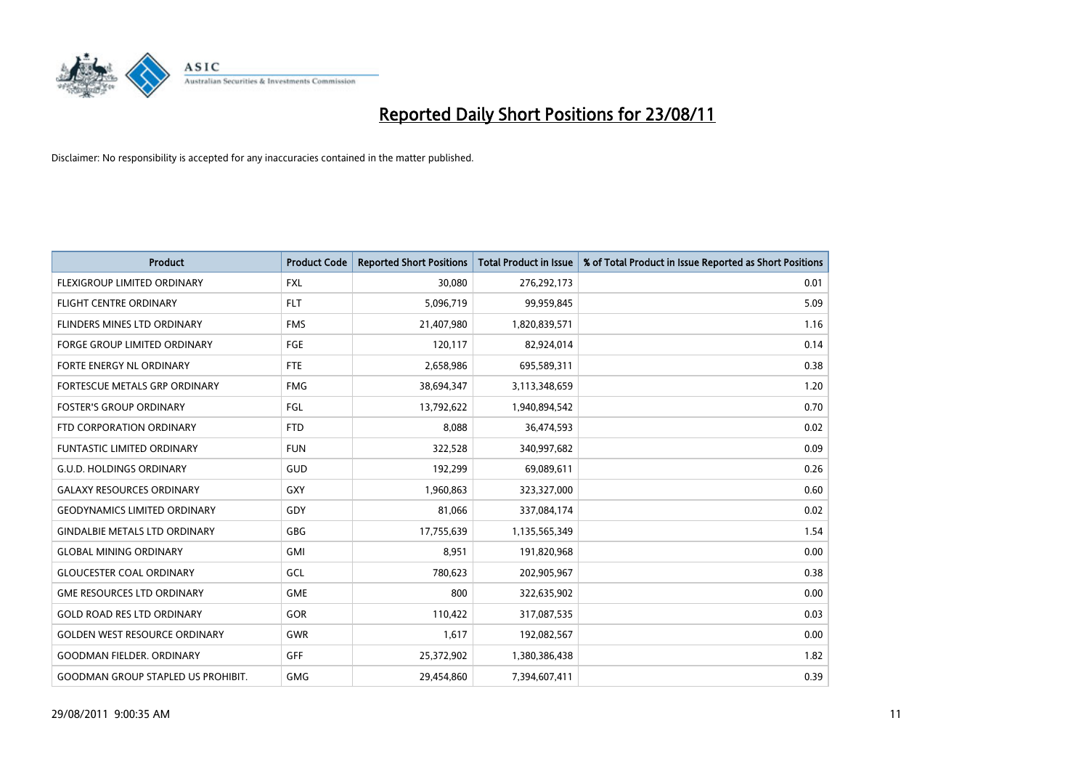

| <b>Product</b>                            | <b>Product Code</b> | <b>Reported Short Positions</b> | <b>Total Product in Issue</b> | % of Total Product in Issue Reported as Short Positions |
|-------------------------------------------|---------------------|---------------------------------|-------------------------------|---------------------------------------------------------|
| FLEXIGROUP LIMITED ORDINARY               | <b>FXL</b>          | 30,080                          | 276,292,173                   | 0.01                                                    |
| FLIGHT CENTRE ORDINARY                    | <b>FLT</b>          | 5,096,719                       | 99,959,845                    | 5.09                                                    |
| FLINDERS MINES LTD ORDINARY               | <b>FMS</b>          | 21,407,980                      | 1,820,839,571                 | 1.16                                                    |
| <b>FORGE GROUP LIMITED ORDINARY</b>       | <b>FGE</b>          | 120,117                         | 82,924,014                    | 0.14                                                    |
| FORTE ENERGY NL ORDINARY                  | <b>FTE</b>          | 2,658,986                       | 695,589,311                   | 0.38                                                    |
| FORTESCUE METALS GRP ORDINARY             | <b>FMG</b>          | 38,694,347                      | 3,113,348,659                 | 1.20                                                    |
| <b>FOSTER'S GROUP ORDINARY</b>            | FGL                 | 13,792,622                      | 1,940,894,542                 | 0.70                                                    |
| FTD CORPORATION ORDINARY                  | <b>FTD</b>          | 8,088                           | 36,474,593                    | 0.02                                                    |
| <b>FUNTASTIC LIMITED ORDINARY</b>         | <b>FUN</b>          | 322,528                         | 340,997,682                   | 0.09                                                    |
| <b>G.U.D. HOLDINGS ORDINARY</b>           | <b>GUD</b>          | 192,299                         | 69,089,611                    | 0.26                                                    |
| <b>GALAXY RESOURCES ORDINARY</b>          | GXY                 | 1,960,863                       | 323,327,000                   | 0.60                                                    |
| <b>GEODYNAMICS LIMITED ORDINARY</b>       | GDY                 | 81,066                          | 337,084,174                   | 0.02                                                    |
| <b>GINDALBIE METALS LTD ORDINARY</b>      | <b>GBG</b>          | 17,755,639                      | 1,135,565,349                 | 1.54                                                    |
| <b>GLOBAL MINING ORDINARY</b>             | <b>GMI</b>          | 8,951                           | 191,820,968                   | 0.00                                                    |
| <b>GLOUCESTER COAL ORDINARY</b>           | GCL                 | 780,623                         | 202,905,967                   | 0.38                                                    |
| <b>GME RESOURCES LTD ORDINARY</b>         | <b>GME</b>          | 800                             | 322,635,902                   | 0.00                                                    |
| <b>GOLD ROAD RES LTD ORDINARY</b>         | GOR                 | 110,422                         | 317,087,535                   | 0.03                                                    |
| <b>GOLDEN WEST RESOURCE ORDINARY</b>      | <b>GWR</b>          | 1,617                           | 192,082,567                   | 0.00                                                    |
| GOODMAN FIELDER. ORDINARY                 | <b>GFF</b>          | 25,372,902                      | 1,380,386,438                 | 1.82                                                    |
| <b>GOODMAN GROUP STAPLED US PROHIBIT.</b> | <b>GMG</b>          | 29,454,860                      | 7,394,607,411                 | 0.39                                                    |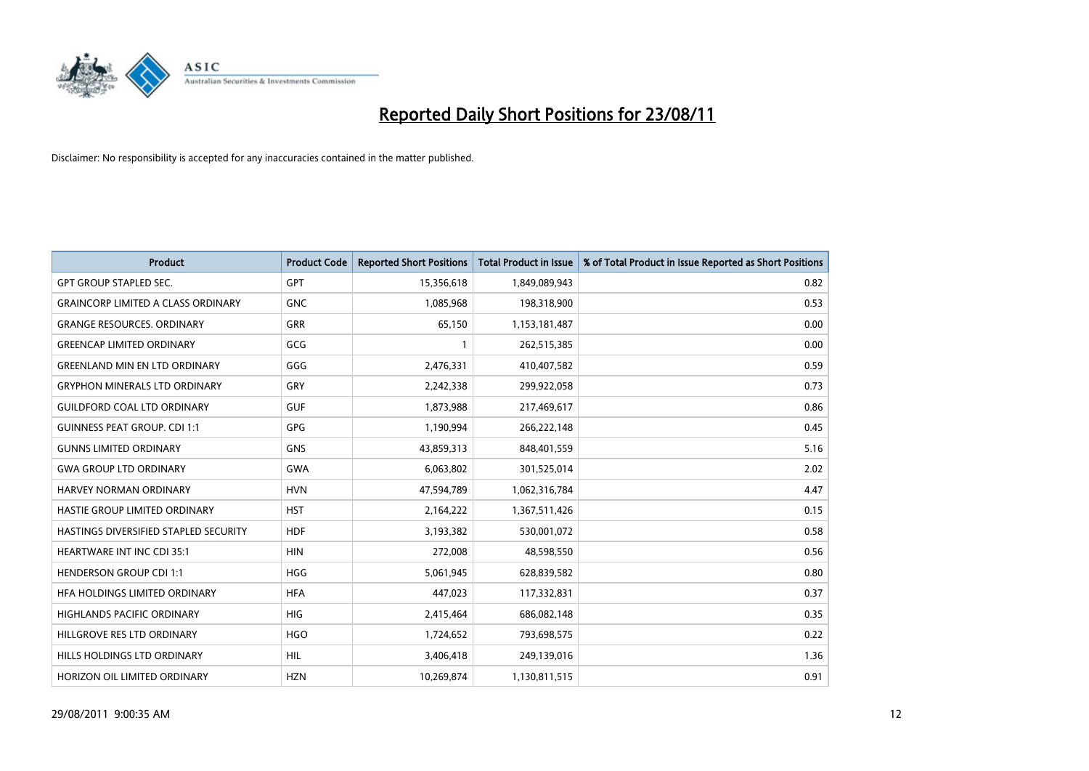

| <b>Product</b>                            | <b>Product Code</b> | <b>Reported Short Positions</b> | <b>Total Product in Issue</b> | % of Total Product in Issue Reported as Short Positions |
|-------------------------------------------|---------------------|---------------------------------|-------------------------------|---------------------------------------------------------|
| <b>GPT GROUP STAPLED SEC.</b>             | <b>GPT</b>          | 15,356,618                      | 1,849,089,943                 | 0.82                                                    |
| <b>GRAINCORP LIMITED A CLASS ORDINARY</b> | <b>GNC</b>          | 1,085,968                       | 198,318,900                   | 0.53                                                    |
| <b>GRANGE RESOURCES, ORDINARY</b>         | <b>GRR</b>          | 65,150                          | 1,153,181,487                 | 0.00                                                    |
| <b>GREENCAP LIMITED ORDINARY</b>          | GCG                 |                                 | 262,515,385                   | 0.00                                                    |
| <b>GREENLAND MIN EN LTD ORDINARY</b>      | GGG                 | 2,476,331                       | 410,407,582                   | 0.59                                                    |
| <b>GRYPHON MINERALS LTD ORDINARY</b>      | GRY                 | 2,242,338                       | 299,922,058                   | 0.73                                                    |
| <b>GUILDFORD COAL LTD ORDINARY</b>        | <b>GUF</b>          | 1,873,988                       | 217,469,617                   | 0.86                                                    |
| <b>GUINNESS PEAT GROUP. CDI 1:1</b>       | <b>GPG</b>          | 1,190,994                       | 266,222,148                   | 0.45                                                    |
| <b>GUNNS LIMITED ORDINARY</b>             | <b>GNS</b>          | 43,859,313                      | 848,401,559                   | 5.16                                                    |
| <b>GWA GROUP LTD ORDINARY</b>             | <b>GWA</b>          | 6,063,802                       | 301,525,014                   | 2.02                                                    |
| <b>HARVEY NORMAN ORDINARY</b>             | <b>HVN</b>          | 47,594,789                      | 1,062,316,784                 | 4.47                                                    |
| HASTIE GROUP LIMITED ORDINARY             | <b>HST</b>          | 2,164,222                       | 1,367,511,426                 | 0.15                                                    |
| HASTINGS DIVERSIFIED STAPLED SECURITY     | <b>HDF</b>          | 3,193,382                       | 530,001,072                   | 0.58                                                    |
| <b>HEARTWARE INT INC CDI 35:1</b>         | <b>HIN</b>          | 272.008                         | 48,598,550                    | 0.56                                                    |
| <b>HENDERSON GROUP CDI 1:1</b>            | <b>HGG</b>          | 5,061,945                       | 628,839,582                   | 0.80                                                    |
| HFA HOLDINGS LIMITED ORDINARY             | <b>HFA</b>          | 447,023                         | 117,332,831                   | 0.37                                                    |
| <b>HIGHLANDS PACIFIC ORDINARY</b>         | <b>HIG</b>          | 2,415,464                       | 686,082,148                   | 0.35                                                    |
| HILLGROVE RES LTD ORDINARY                | <b>HGO</b>          | 1,724,652                       | 793,698,575                   | 0.22                                                    |
| HILLS HOLDINGS LTD ORDINARY               | <b>HIL</b>          | 3,406,418                       | 249,139,016                   | 1.36                                                    |
| HORIZON OIL LIMITED ORDINARY              | <b>HZN</b>          | 10.269.874                      | 1,130,811,515                 | 0.91                                                    |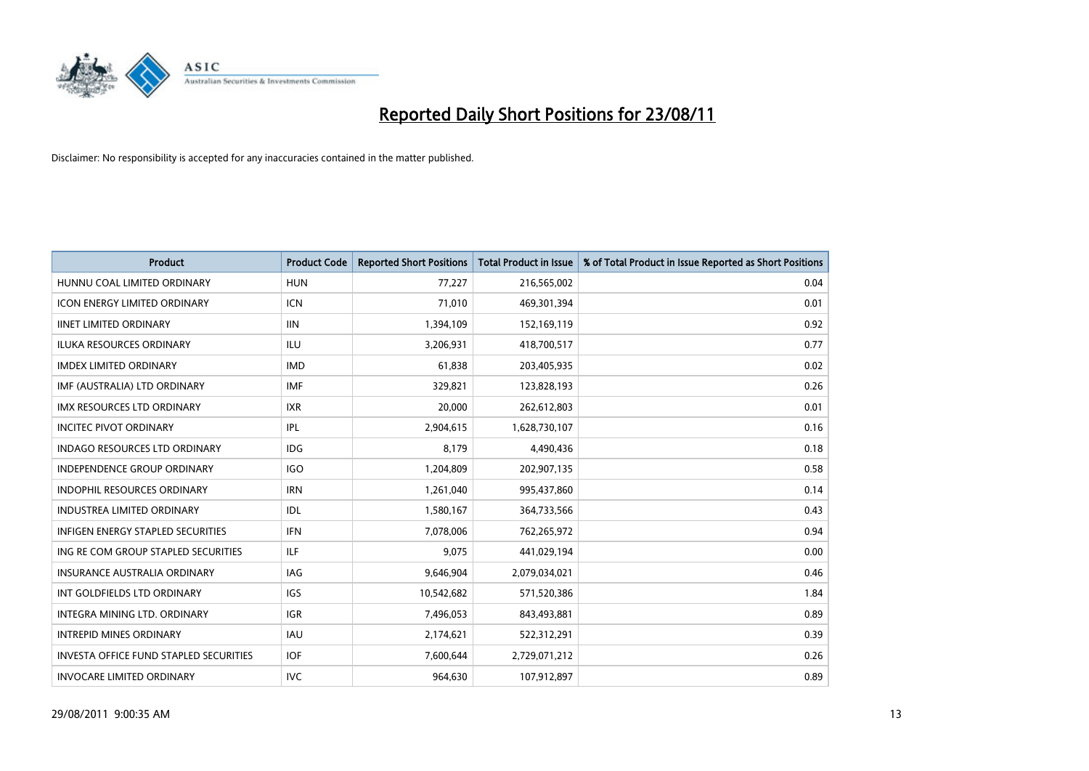

| <b>Product</b>                                | <b>Product Code</b> | <b>Reported Short Positions</b> | Total Product in Issue | % of Total Product in Issue Reported as Short Positions |
|-----------------------------------------------|---------------------|---------------------------------|------------------------|---------------------------------------------------------|
| HUNNU COAL LIMITED ORDINARY                   | <b>HUN</b>          | 77,227                          | 216,565,002            | 0.04                                                    |
| <b>ICON ENERGY LIMITED ORDINARY</b>           | <b>ICN</b>          | 71,010                          | 469,301,394            | 0.01                                                    |
| <b>IINET LIMITED ORDINARY</b>                 | <b>IIN</b>          | 1,394,109                       | 152,169,119            | 0.92                                                    |
| ILUKA RESOURCES ORDINARY                      | <b>ILU</b>          | 3,206,931                       | 418,700,517            | 0.77                                                    |
| <b>IMDEX LIMITED ORDINARY</b>                 | <b>IMD</b>          | 61,838                          | 203,405,935            | 0.02                                                    |
| IMF (AUSTRALIA) LTD ORDINARY                  | <b>IMF</b>          | 329,821                         | 123,828,193            | 0.26                                                    |
| <b>IMX RESOURCES LTD ORDINARY</b>             | <b>IXR</b>          | 20,000                          | 262,612,803            | 0.01                                                    |
| <b>INCITEC PIVOT ORDINARY</b>                 | IPL                 | 2,904,615                       | 1,628,730,107          | 0.16                                                    |
| <b>INDAGO RESOURCES LTD ORDINARY</b>          | <b>IDG</b>          | 8,179                           | 4,490,436              | 0.18                                                    |
| <b>INDEPENDENCE GROUP ORDINARY</b>            | <b>IGO</b>          | 1,204,809                       | 202,907,135            | 0.58                                                    |
| INDOPHIL RESOURCES ORDINARY                   | <b>IRN</b>          | 1,261,040                       | 995,437,860            | 0.14                                                    |
| <b>INDUSTREA LIMITED ORDINARY</b>             | IDL                 | 1,580,167                       | 364,733,566            | 0.43                                                    |
| <b>INFIGEN ENERGY STAPLED SECURITIES</b>      | <b>IFN</b>          | 7,078,006                       | 762,265,972            | 0.94                                                    |
| ING RE COM GROUP STAPLED SECURITIES           | <b>ILF</b>          | 9,075                           | 441,029,194            | 0.00                                                    |
| <b>INSURANCE AUSTRALIA ORDINARY</b>           | <b>IAG</b>          | 9,646,904                       | 2,079,034,021          | 0.46                                                    |
| INT GOLDFIELDS LTD ORDINARY                   | <b>IGS</b>          | 10,542,682                      | 571,520,386            | 1.84                                                    |
| INTEGRA MINING LTD. ORDINARY                  | <b>IGR</b>          | 7,496,053                       | 843,493,881            | 0.89                                                    |
| <b>INTREPID MINES ORDINARY</b>                | <b>IAU</b>          | 2,174,621                       | 522,312,291            | 0.39                                                    |
| <b>INVESTA OFFICE FUND STAPLED SECURITIES</b> | <b>IOF</b>          | 7,600,644                       | 2,729,071,212          | 0.26                                                    |
| <b>INVOCARE LIMITED ORDINARY</b>              | <b>IVC</b>          | 964,630                         | 107,912,897            | 0.89                                                    |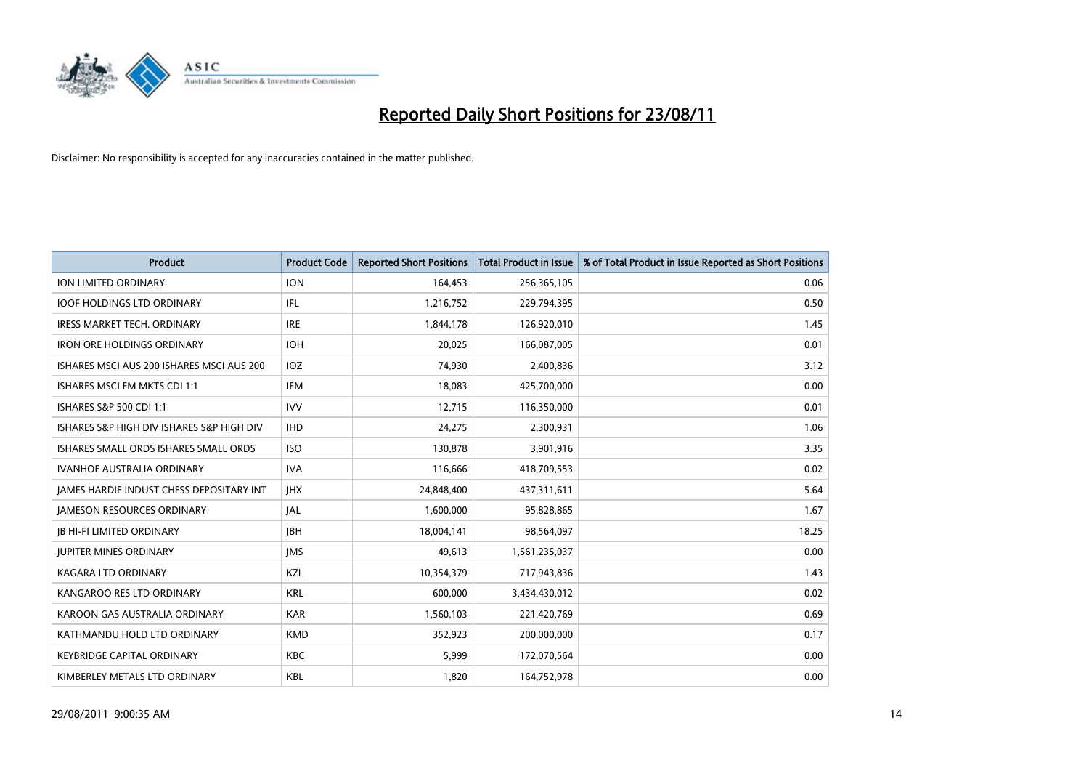

| <b>Product</b>                                  | <b>Product Code</b> | <b>Reported Short Positions</b> | Total Product in Issue | % of Total Product in Issue Reported as Short Positions |
|-------------------------------------------------|---------------------|---------------------------------|------------------------|---------------------------------------------------------|
| <b>ION LIMITED ORDINARY</b>                     | <b>ION</b>          | 164,453                         | 256,365,105            | 0.06                                                    |
| <b>IOOF HOLDINGS LTD ORDINARY</b>               | IFL                 | 1,216,752                       | 229,794,395            | 0.50                                                    |
| <b>IRESS MARKET TECH. ORDINARY</b>              | <b>IRE</b>          | 1,844,178                       | 126,920,010            | 1.45                                                    |
| <b>IRON ORE HOLDINGS ORDINARY</b>               | <b>IOH</b>          | 20,025                          | 166,087,005            | 0.01                                                    |
| ISHARES MSCI AUS 200 ISHARES MSCI AUS 200       | IOZ                 | 74,930                          | 2,400,836              | 3.12                                                    |
| ISHARES MSCI EM MKTS CDI 1:1                    | IEM                 | 18,083                          | 425,700,000            | 0.00                                                    |
| ISHARES S&P 500 CDI 1:1                         | <b>IVV</b>          | 12,715                          | 116,350,000            | 0.01                                                    |
| ISHARES S&P HIGH DIV ISHARES S&P HIGH DIV       | <b>IHD</b>          | 24,275                          | 2,300,931              | 1.06                                                    |
| ISHARES SMALL ORDS ISHARES SMALL ORDS           | <b>ISO</b>          | 130,878                         | 3,901,916              | 3.35                                                    |
| <b>IVANHOE AUSTRALIA ORDINARY</b>               | <b>IVA</b>          | 116,666                         | 418,709,553            | 0.02                                                    |
| <b>JAMES HARDIE INDUST CHESS DEPOSITARY INT</b> | <b>IHX</b>          | 24,848,400                      | 437,311,611            | 5.64                                                    |
| <b>JAMESON RESOURCES ORDINARY</b>               | <b>JAL</b>          | 1,600,000                       | 95,828,865             | 1.67                                                    |
| <b>JB HI-FI LIMITED ORDINARY</b>                | <b>IBH</b>          | 18,004,141                      | 98,564,097             | 18.25                                                   |
| <b>JUPITER MINES ORDINARY</b>                   | <b>IMS</b>          | 49,613                          | 1,561,235,037          | 0.00                                                    |
| <b>KAGARA LTD ORDINARY</b>                      | KZL                 | 10,354,379                      | 717,943,836            | 1.43                                                    |
| KANGAROO RES LTD ORDINARY                       | <b>KRL</b>          | 600,000                         | 3,434,430,012          | 0.02                                                    |
| KAROON GAS AUSTRALIA ORDINARY                   | <b>KAR</b>          | 1,560,103                       | 221,420,769            | 0.69                                                    |
| KATHMANDU HOLD LTD ORDINARY                     | <b>KMD</b>          | 352,923                         | 200,000,000            | 0.17                                                    |
| <b>KEYBRIDGE CAPITAL ORDINARY</b>               | <b>KBC</b>          | 5,999                           | 172,070,564            | 0.00                                                    |
| KIMBERLEY METALS LTD ORDINARY                   | <b>KBL</b>          | 1,820                           | 164,752,978            | 0.00                                                    |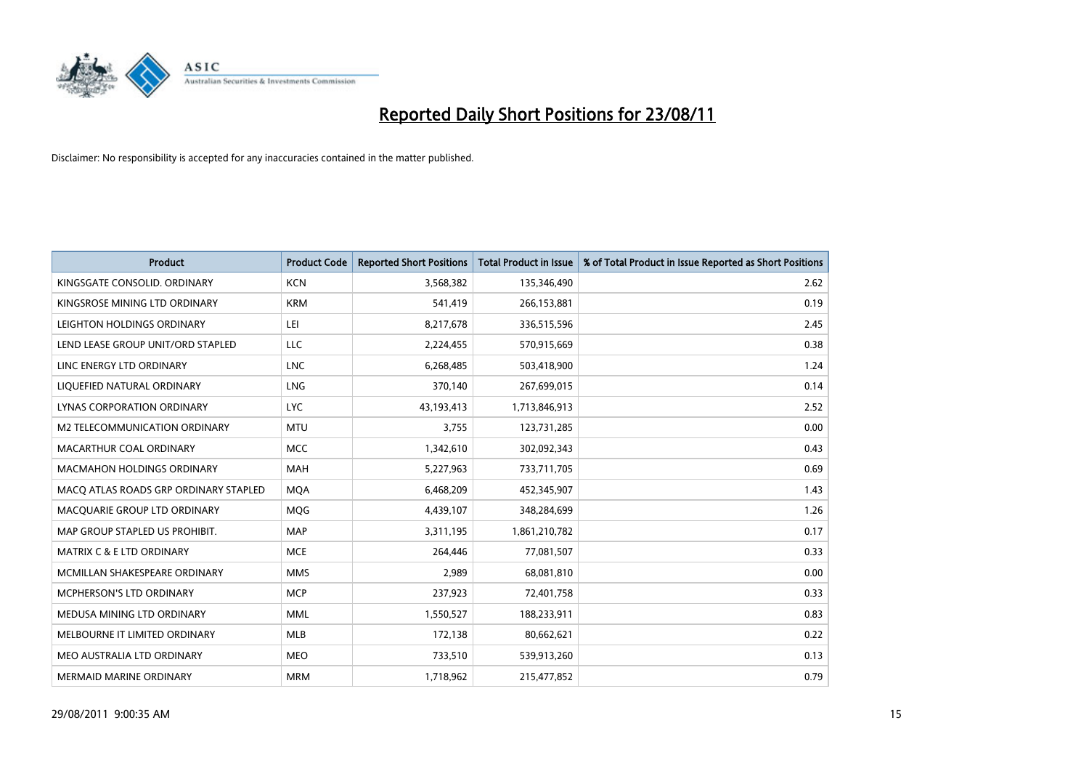

| <b>Product</b>                        | <b>Product Code</b> | <b>Reported Short Positions</b> | <b>Total Product in Issue</b> | % of Total Product in Issue Reported as Short Positions |
|---------------------------------------|---------------------|---------------------------------|-------------------------------|---------------------------------------------------------|
| KINGSGATE CONSOLID, ORDINARY          | <b>KCN</b>          | 3,568,382                       | 135,346,490                   | 2.62                                                    |
| KINGSROSE MINING LTD ORDINARY         | <b>KRM</b>          | 541,419                         | 266,153,881                   | 0.19                                                    |
| LEIGHTON HOLDINGS ORDINARY            | LEI                 | 8,217,678                       | 336,515,596                   | 2.45                                                    |
| LEND LEASE GROUP UNIT/ORD STAPLED     | LLC                 | 2,224,455                       | 570,915,669                   | 0.38                                                    |
| LINC ENERGY LTD ORDINARY              | <b>LNC</b>          | 6,268,485                       | 503,418,900                   | 1.24                                                    |
| LIQUEFIED NATURAL ORDINARY            | LNG                 | 370,140                         | 267,699,015                   | 0.14                                                    |
| LYNAS CORPORATION ORDINARY            | <b>LYC</b>          | 43,193,413                      | 1,713,846,913                 | 2.52                                                    |
| M2 TELECOMMUNICATION ORDINARY         | <b>MTU</b>          | 3,755                           | 123,731,285                   | 0.00                                                    |
| MACARTHUR COAL ORDINARY               | <b>MCC</b>          | 1,342,610                       | 302,092,343                   | 0.43                                                    |
| <b>MACMAHON HOLDINGS ORDINARY</b>     | <b>MAH</b>          | 5,227,963                       | 733,711,705                   | 0.69                                                    |
| MACO ATLAS ROADS GRP ORDINARY STAPLED | <b>MOA</b>          | 6,468,209                       | 452,345,907                   | 1.43                                                    |
| MACQUARIE GROUP LTD ORDINARY          | <b>MQG</b>          | 4,439,107                       | 348,284,699                   | 1.26                                                    |
| MAP GROUP STAPLED US PROHIBIT.        | <b>MAP</b>          | 3,311,195                       | 1,861,210,782                 | 0.17                                                    |
| MATRIX C & E LTD ORDINARY             | <b>MCE</b>          | 264,446                         | 77,081,507                    | 0.33                                                    |
| MCMILLAN SHAKESPEARE ORDINARY         | <b>MMS</b>          | 2,989                           | 68,081,810                    | 0.00                                                    |
| MCPHERSON'S LTD ORDINARY              | <b>MCP</b>          | 237,923                         | 72,401,758                    | 0.33                                                    |
| MEDUSA MINING LTD ORDINARY            | <b>MML</b>          | 1,550,527                       | 188,233,911                   | 0.83                                                    |
| MELBOURNE IT LIMITED ORDINARY         | <b>MLB</b>          | 172,138                         | 80,662,621                    | 0.22                                                    |
| MEO AUSTRALIA LTD ORDINARY            | <b>MEO</b>          | 733,510                         | 539,913,260                   | 0.13                                                    |
| MERMAID MARINE ORDINARY               | <b>MRM</b>          | 1,718,962                       | 215,477,852                   | 0.79                                                    |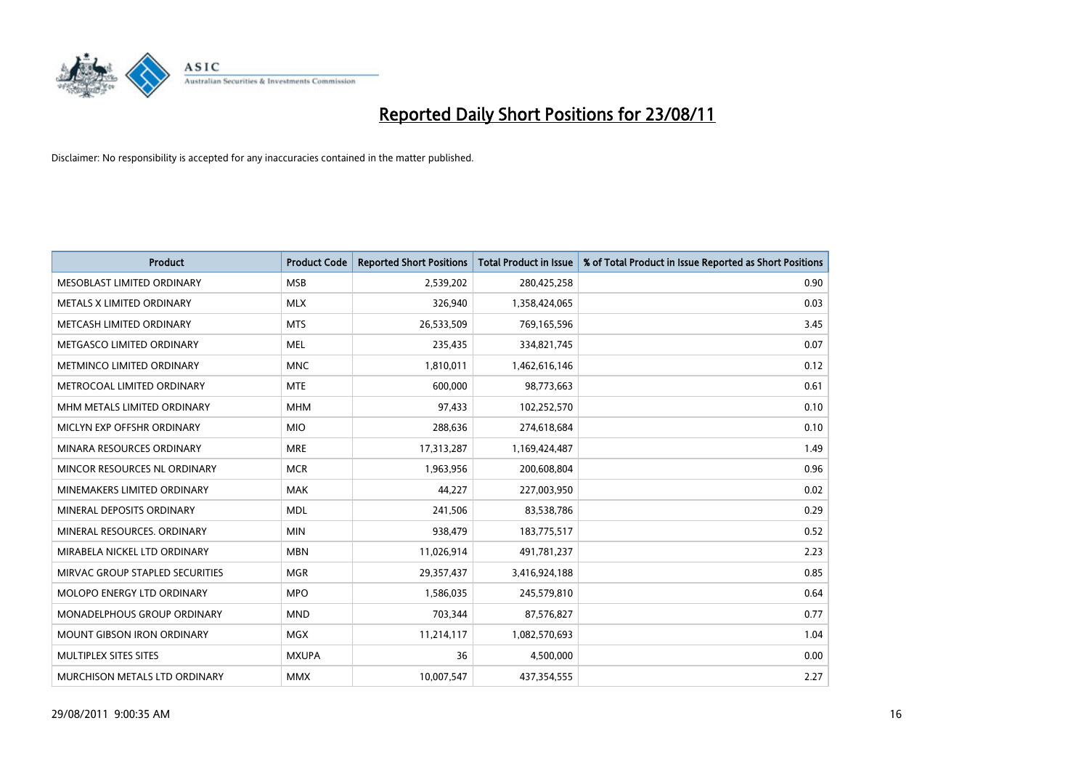

| <b>Product</b>                  | <b>Product Code</b> | <b>Reported Short Positions</b> | <b>Total Product in Issue</b> | % of Total Product in Issue Reported as Short Positions |
|---------------------------------|---------------------|---------------------------------|-------------------------------|---------------------------------------------------------|
| MESOBLAST LIMITED ORDINARY      | <b>MSB</b>          | 2,539,202                       | 280,425,258                   | 0.90                                                    |
| METALS X LIMITED ORDINARY       | <b>MLX</b>          | 326,940                         | 1,358,424,065                 | 0.03                                                    |
| METCASH LIMITED ORDINARY        | <b>MTS</b>          | 26,533,509                      | 769,165,596                   | 3.45                                                    |
| METGASCO LIMITED ORDINARY       | <b>MEL</b>          | 235,435                         | 334,821,745                   | 0.07                                                    |
| METMINCO LIMITED ORDINARY       | <b>MNC</b>          | 1,810,011                       | 1,462,616,146                 | 0.12                                                    |
| METROCOAL LIMITED ORDINARY      | <b>MTE</b>          | 600,000                         | 98,773,663                    | 0.61                                                    |
| MHM METALS LIMITED ORDINARY     | <b>MHM</b>          | 97,433                          | 102,252,570                   | 0.10                                                    |
| MICLYN EXP OFFSHR ORDINARY      | <b>MIO</b>          | 288,636                         | 274,618,684                   | 0.10                                                    |
| MINARA RESOURCES ORDINARY       | <b>MRE</b>          | 17,313,287                      | 1,169,424,487                 | 1.49                                                    |
| MINCOR RESOURCES NL ORDINARY    | <b>MCR</b>          | 1,963,956                       | 200,608,804                   | 0.96                                                    |
| MINEMAKERS LIMITED ORDINARY     | <b>MAK</b>          | 44,227                          | 227,003,950                   | 0.02                                                    |
| MINERAL DEPOSITS ORDINARY       | <b>MDL</b>          | 241,506                         | 83,538,786                    | 0.29                                                    |
| MINERAL RESOURCES. ORDINARY     | <b>MIN</b>          | 938,479                         | 183,775,517                   | 0.52                                                    |
| MIRABELA NICKEL LTD ORDINARY    | <b>MBN</b>          | 11,026,914                      | 491,781,237                   | 2.23                                                    |
| MIRVAC GROUP STAPLED SECURITIES | <b>MGR</b>          | 29,357,437                      | 3,416,924,188                 | 0.85                                                    |
| MOLOPO ENERGY LTD ORDINARY      | <b>MPO</b>          | 1,586,035                       | 245,579,810                   | 0.64                                                    |
| MONADELPHOUS GROUP ORDINARY     | <b>MND</b>          | 703,344                         | 87,576,827                    | 0.77                                                    |
| MOUNT GIBSON IRON ORDINARY      | <b>MGX</b>          | 11,214,117                      | 1,082,570,693                 | 1.04                                                    |
| MULTIPLEX SITES SITES           | <b>MXUPA</b>        | 36                              | 4,500,000                     | 0.00                                                    |
| MURCHISON METALS LTD ORDINARY   | <b>MMX</b>          | 10,007,547                      | 437,354,555                   | 2.27                                                    |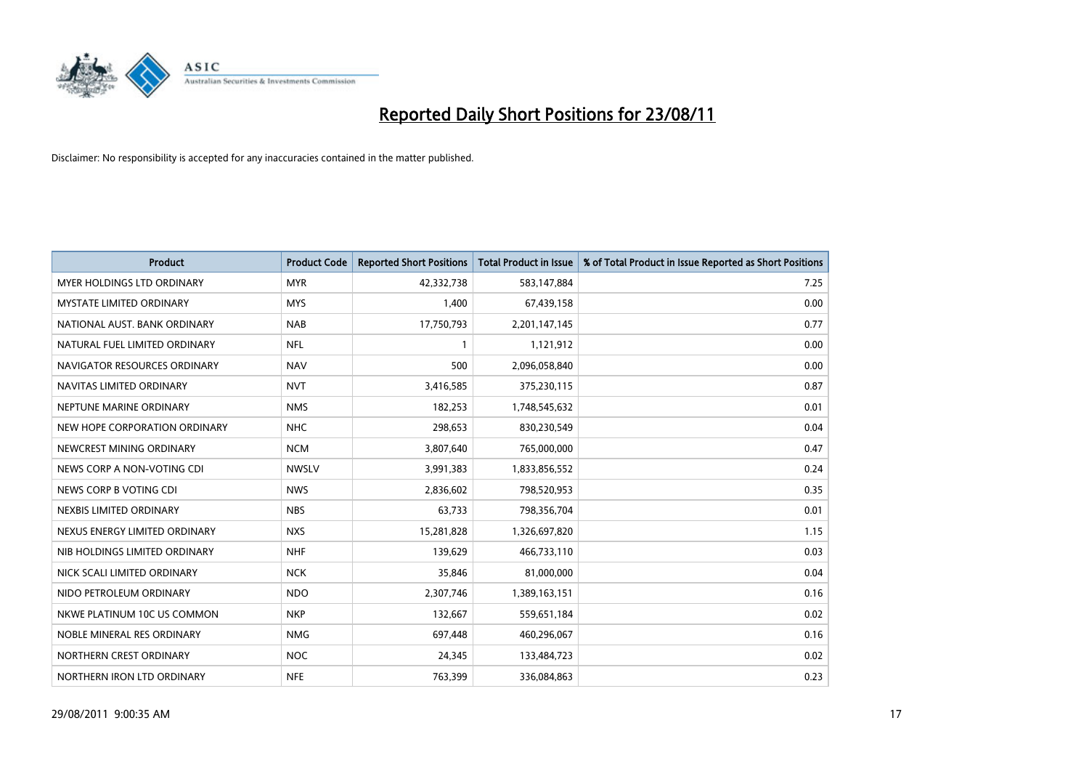

| <b>Product</b>                    | <b>Product Code</b> | <b>Reported Short Positions</b> | Total Product in Issue | % of Total Product in Issue Reported as Short Positions |
|-----------------------------------|---------------------|---------------------------------|------------------------|---------------------------------------------------------|
| <b>MYER HOLDINGS LTD ORDINARY</b> | <b>MYR</b>          | 42,332,738                      | 583,147,884            | 7.25                                                    |
| <b>MYSTATE LIMITED ORDINARY</b>   | <b>MYS</b>          | 1,400                           | 67,439,158             | 0.00                                                    |
| NATIONAL AUST. BANK ORDINARY      | <b>NAB</b>          | 17,750,793                      | 2,201,147,145          | 0.77                                                    |
| NATURAL FUEL LIMITED ORDINARY     | <b>NFL</b>          |                                 | 1,121,912              | 0.00                                                    |
| NAVIGATOR RESOURCES ORDINARY      | <b>NAV</b>          | 500                             | 2,096,058,840          | 0.00                                                    |
| NAVITAS LIMITED ORDINARY          | <b>NVT</b>          | 3,416,585                       | 375,230,115            | 0.87                                                    |
| NEPTUNE MARINE ORDINARY           | <b>NMS</b>          | 182,253                         | 1,748,545,632          | 0.01                                                    |
| NEW HOPE CORPORATION ORDINARY     | <b>NHC</b>          | 298,653                         | 830,230,549            | 0.04                                                    |
| NEWCREST MINING ORDINARY          | <b>NCM</b>          | 3,807,640                       | 765,000,000            | 0.47                                                    |
| NEWS CORP A NON-VOTING CDI        | <b>NWSLV</b>        | 3,991,383                       | 1,833,856,552          | 0.24                                                    |
| NEWS CORP B VOTING CDI            | <b>NWS</b>          | 2,836,602                       | 798,520,953            | 0.35                                                    |
| NEXBIS LIMITED ORDINARY           | <b>NBS</b>          | 63,733                          | 798,356,704            | 0.01                                                    |
| NEXUS ENERGY LIMITED ORDINARY     | <b>NXS</b>          | 15,281,828                      | 1,326,697,820          | 1.15                                                    |
| NIB HOLDINGS LIMITED ORDINARY     | <b>NHF</b>          | 139,629                         | 466,733,110            | 0.03                                                    |
| NICK SCALI LIMITED ORDINARY       | <b>NCK</b>          | 35,846                          | 81,000,000             | 0.04                                                    |
| NIDO PETROLEUM ORDINARY           | <b>NDO</b>          | 2,307,746                       | 1,389,163,151          | 0.16                                                    |
| NKWE PLATINUM 10C US COMMON       | <b>NKP</b>          | 132,667                         | 559,651,184            | 0.02                                                    |
| NOBLE MINERAL RES ORDINARY        | <b>NMG</b>          | 697,448                         | 460,296,067            | 0.16                                                    |
| NORTHERN CREST ORDINARY           | <b>NOC</b>          | 24,345                          | 133,484,723            | 0.02                                                    |
| NORTHERN IRON LTD ORDINARY        | <b>NFE</b>          | 763,399                         | 336,084,863            | 0.23                                                    |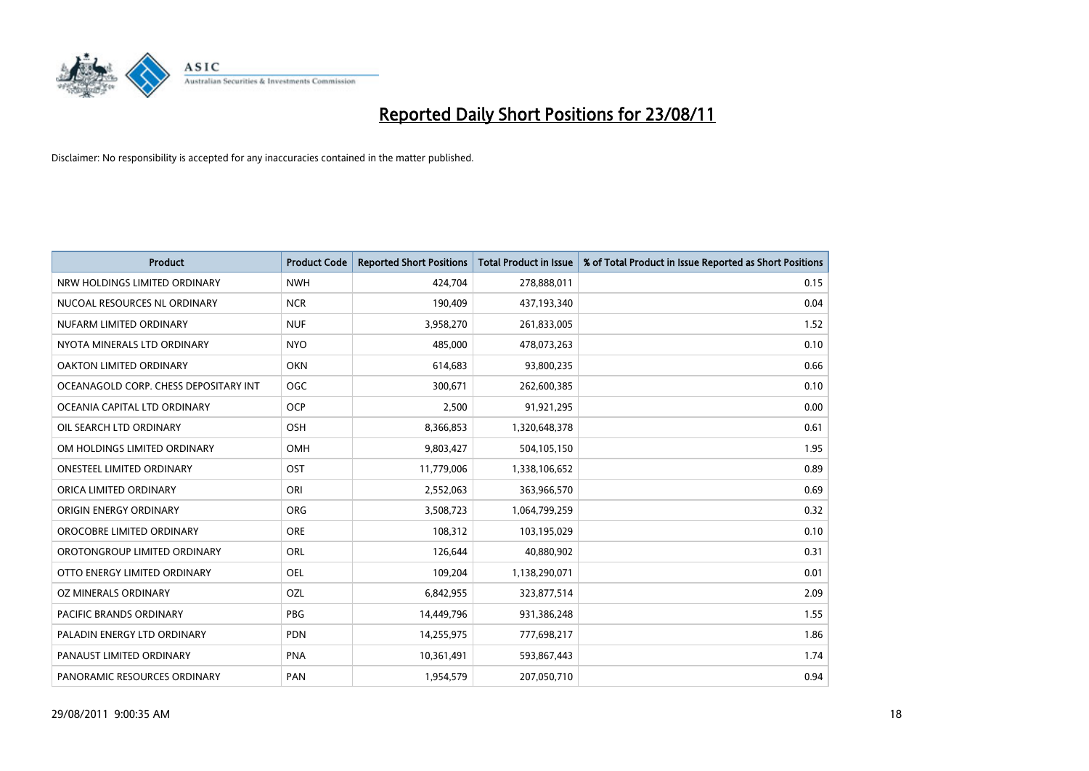

| <b>Product</b>                        | <b>Product Code</b> | <b>Reported Short Positions</b> | <b>Total Product in Issue</b> | % of Total Product in Issue Reported as Short Positions |
|---------------------------------------|---------------------|---------------------------------|-------------------------------|---------------------------------------------------------|
| NRW HOLDINGS LIMITED ORDINARY         | <b>NWH</b>          | 424,704                         | 278,888,011                   | 0.15                                                    |
| NUCOAL RESOURCES NL ORDINARY          | <b>NCR</b>          | 190,409                         | 437,193,340                   | 0.04                                                    |
| NUFARM LIMITED ORDINARY               | <b>NUF</b>          | 3,958,270                       | 261,833,005                   | 1.52                                                    |
| NYOTA MINERALS LTD ORDINARY           | <b>NYO</b>          | 485,000                         | 478,073,263                   | 0.10                                                    |
| <b>OAKTON LIMITED ORDINARY</b>        | <b>OKN</b>          | 614,683                         | 93,800,235                    | 0.66                                                    |
| OCEANAGOLD CORP. CHESS DEPOSITARY INT | OGC                 | 300,671                         | 262,600,385                   | 0.10                                                    |
| OCEANIA CAPITAL LTD ORDINARY          | <b>OCP</b>          | 2,500                           | 91,921,295                    | 0.00                                                    |
| OIL SEARCH LTD ORDINARY               | <b>OSH</b>          | 8,366,853                       | 1,320,648,378                 | 0.61                                                    |
| OM HOLDINGS LIMITED ORDINARY          | <b>OMH</b>          | 9,803,427                       | 504,105,150                   | 1.95                                                    |
| <b>ONESTEEL LIMITED ORDINARY</b>      | OST                 | 11,779,006                      | 1,338,106,652                 | 0.89                                                    |
| ORICA LIMITED ORDINARY                | ORI                 | 2,552,063                       | 363,966,570                   | 0.69                                                    |
| ORIGIN ENERGY ORDINARY                | <b>ORG</b>          | 3,508,723                       | 1,064,799,259                 | 0.32                                                    |
| OROCOBRE LIMITED ORDINARY             | <b>ORE</b>          | 108,312                         | 103,195,029                   | 0.10                                                    |
| OROTONGROUP LIMITED ORDINARY          | ORL                 | 126,644                         | 40,880,902                    | 0.31                                                    |
| OTTO ENERGY LIMITED ORDINARY          | <b>OEL</b>          | 109,204                         | 1,138,290,071                 | 0.01                                                    |
| OZ MINERALS ORDINARY                  | OZL                 | 6,842,955                       | 323,877,514                   | 2.09                                                    |
| PACIFIC BRANDS ORDINARY               | PBG                 | 14,449,796                      | 931,386,248                   | 1.55                                                    |
| PALADIN ENERGY LTD ORDINARY           | <b>PDN</b>          | 14,255,975                      | 777,698,217                   | 1.86                                                    |
| PANAUST LIMITED ORDINARY              | <b>PNA</b>          | 10,361,491                      | 593,867,443                   | 1.74                                                    |
| PANORAMIC RESOURCES ORDINARY          | PAN                 | 1,954,579                       | 207,050,710                   | 0.94                                                    |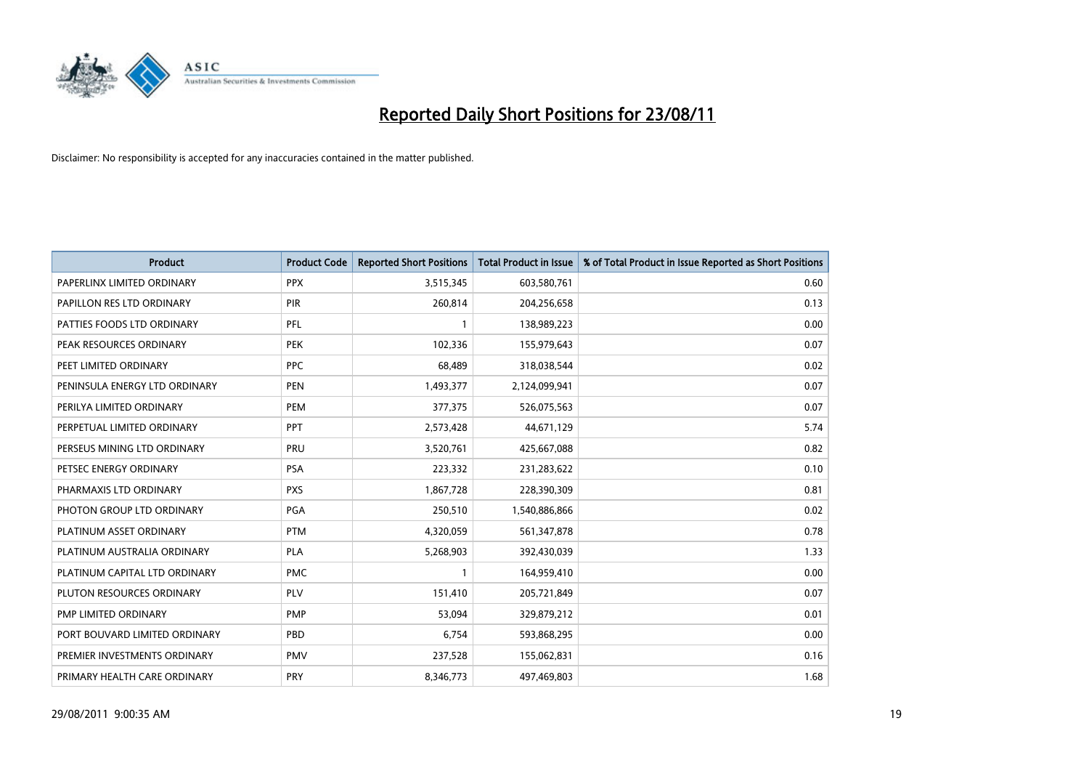

| <b>Product</b>                | <b>Product Code</b> | <b>Reported Short Positions</b> | <b>Total Product in Issue</b> | % of Total Product in Issue Reported as Short Positions |
|-------------------------------|---------------------|---------------------------------|-------------------------------|---------------------------------------------------------|
| PAPERLINX LIMITED ORDINARY    | <b>PPX</b>          | 3,515,345                       | 603,580,761                   | 0.60                                                    |
| PAPILLON RES LTD ORDINARY     | PIR                 | 260,814                         | 204,256,658                   | 0.13                                                    |
| PATTIES FOODS LTD ORDINARY    | PFL                 |                                 | 138,989,223                   | 0.00                                                    |
| PEAK RESOURCES ORDINARY       | <b>PEK</b>          | 102,336                         | 155,979,643                   | 0.07                                                    |
| PEET LIMITED ORDINARY         | <b>PPC</b>          | 68,489                          | 318,038,544                   | 0.02                                                    |
| PENINSULA ENERGY LTD ORDINARY | <b>PEN</b>          | 1,493,377                       | 2,124,099,941                 | 0.07                                                    |
| PERILYA LIMITED ORDINARY      | PEM                 | 377,375                         | 526,075,563                   | 0.07                                                    |
| PERPETUAL LIMITED ORDINARY    | PPT                 | 2,573,428                       | 44,671,129                    | 5.74                                                    |
| PERSEUS MINING LTD ORDINARY   | PRU                 | 3,520,761                       | 425,667,088                   | 0.82                                                    |
| PETSEC ENERGY ORDINARY        | <b>PSA</b>          | 223,332                         | 231,283,622                   | 0.10                                                    |
| PHARMAXIS LTD ORDINARY        | <b>PXS</b>          | 1,867,728                       | 228,390,309                   | 0.81                                                    |
| PHOTON GROUP LTD ORDINARY     | PGA                 | 250,510                         | 1,540,886,866                 | 0.02                                                    |
| PLATINUM ASSET ORDINARY       | <b>PTM</b>          | 4,320,059                       | 561,347,878                   | 0.78                                                    |
| PLATINUM AUSTRALIA ORDINARY   | <b>PLA</b>          | 5,268,903                       | 392,430,039                   | 1.33                                                    |
| PLATINUM CAPITAL LTD ORDINARY | <b>PMC</b>          |                                 | 164,959,410                   | 0.00                                                    |
| PLUTON RESOURCES ORDINARY     | PLV                 | 151,410                         | 205,721,849                   | 0.07                                                    |
| PMP LIMITED ORDINARY          | <b>PMP</b>          | 53,094                          | 329,879,212                   | 0.01                                                    |
| PORT BOUVARD LIMITED ORDINARY | PBD                 | 6,754                           | 593,868,295                   | 0.00                                                    |
| PREMIER INVESTMENTS ORDINARY  | <b>PMV</b>          | 237,528                         | 155,062,831                   | 0.16                                                    |
| PRIMARY HEALTH CARE ORDINARY  | <b>PRY</b>          | 8,346,773                       | 497,469,803                   | 1.68                                                    |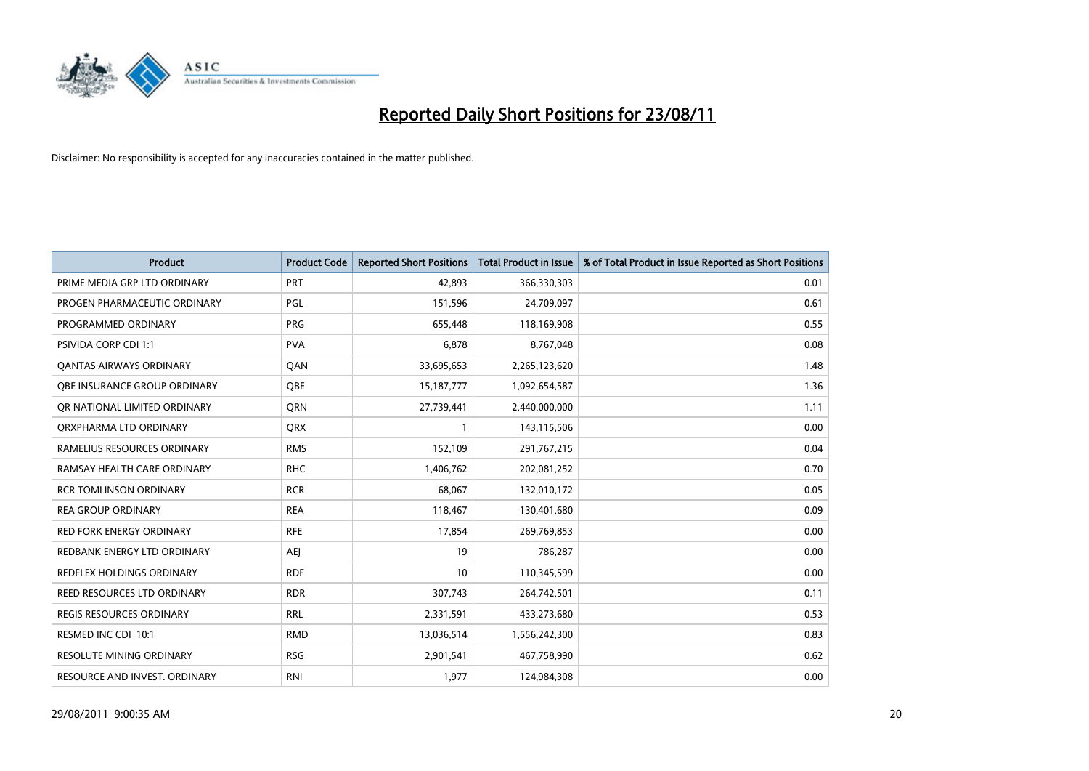

| <b>Product</b>                     | <b>Product Code</b> | <b>Reported Short Positions</b> | <b>Total Product in Issue</b> | % of Total Product in Issue Reported as Short Positions |
|------------------------------------|---------------------|---------------------------------|-------------------------------|---------------------------------------------------------|
| PRIME MEDIA GRP LTD ORDINARY       | PRT                 | 42,893                          | 366,330,303                   | 0.01                                                    |
| PROGEN PHARMACEUTIC ORDINARY       | PGL                 | 151,596                         | 24,709,097                    | 0.61                                                    |
| PROGRAMMED ORDINARY                | <b>PRG</b>          | 655,448                         | 118,169,908                   | 0.55                                                    |
| PSIVIDA CORP CDI 1:1               | <b>PVA</b>          | 6,878                           | 8,767,048                     | 0.08                                                    |
| <b>QANTAS AIRWAYS ORDINARY</b>     | QAN                 | 33,695,653                      | 2,265,123,620                 | 1.48                                                    |
| OBE INSURANCE GROUP ORDINARY       | <b>QBE</b>          | 15, 187, 777                    | 1,092,654,587                 | 1.36                                                    |
| OR NATIONAL LIMITED ORDINARY       | <b>ORN</b>          | 27,739,441                      | 2,440,000,000                 | 1.11                                                    |
| ORXPHARMA LTD ORDINARY             | <b>ORX</b>          |                                 | 143,115,506                   | 0.00                                                    |
| RAMELIUS RESOURCES ORDINARY        | <b>RMS</b>          | 152,109                         | 291,767,215                   | 0.04                                                    |
| RAMSAY HEALTH CARE ORDINARY        | <b>RHC</b>          | 1,406,762                       | 202,081,252                   | 0.70                                                    |
| RCR TOMLINSON ORDINARY             | <b>RCR</b>          | 68,067                          | 132,010,172                   | 0.05                                                    |
| <b>REA GROUP ORDINARY</b>          | <b>REA</b>          | 118,467                         | 130,401,680                   | 0.09                                                    |
| <b>RED FORK ENERGY ORDINARY</b>    | <b>RFE</b>          | 17,854                          | 269,769,853                   | 0.00                                                    |
| REDBANK ENERGY LTD ORDINARY        | <b>AEI</b>          | 19                              | 786,287                       | 0.00                                                    |
| <b>REDFLEX HOLDINGS ORDINARY</b>   | <b>RDF</b>          | 10                              | 110,345,599                   | 0.00                                                    |
| <b>REED RESOURCES LTD ORDINARY</b> | <b>RDR</b>          | 307,743                         | 264,742,501                   | 0.11                                                    |
| <b>REGIS RESOURCES ORDINARY</b>    | <b>RRL</b>          | 2,331,591                       | 433,273,680                   | 0.53                                                    |
| RESMED INC CDI 10:1                | <b>RMD</b>          | 13,036,514                      | 1,556,242,300                 | 0.83                                                    |
| <b>RESOLUTE MINING ORDINARY</b>    | <b>RSG</b>          | 2,901,541                       | 467,758,990                   | 0.62                                                    |
| RESOURCE AND INVEST. ORDINARY      | <b>RNI</b>          | 1,977                           | 124,984,308                   | 0.00                                                    |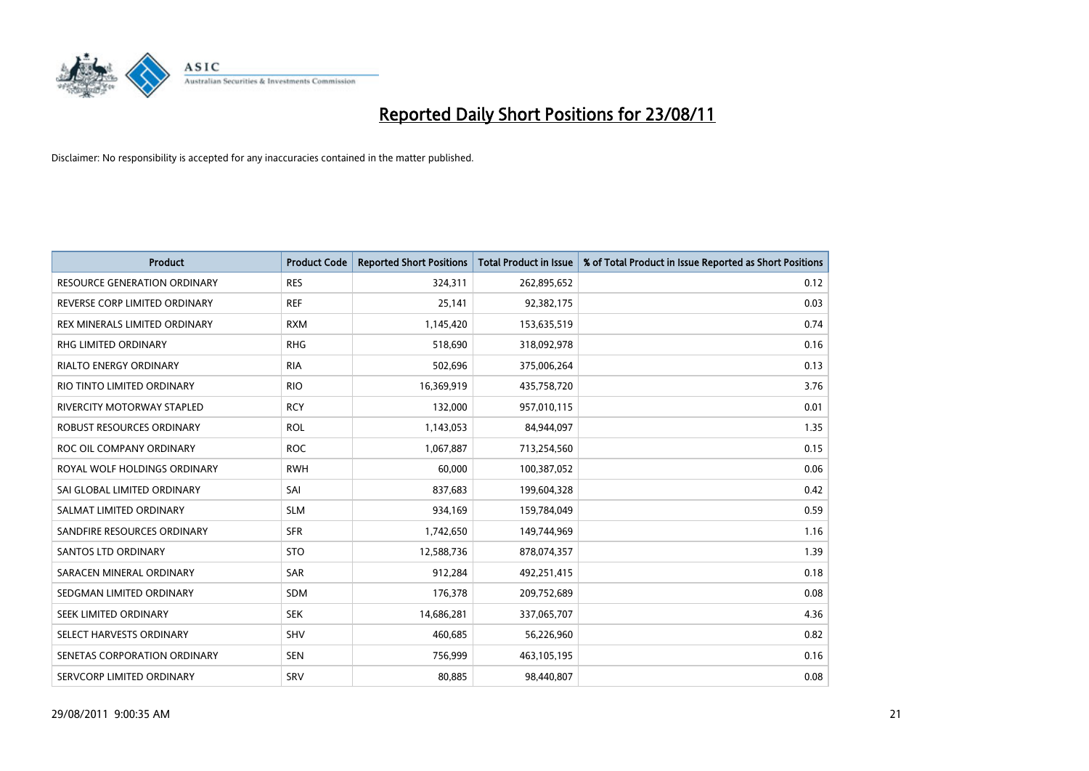

| <b>Product</b>                      | <b>Product Code</b> | <b>Reported Short Positions</b> | Total Product in Issue | % of Total Product in Issue Reported as Short Positions |
|-------------------------------------|---------------------|---------------------------------|------------------------|---------------------------------------------------------|
| <b>RESOURCE GENERATION ORDINARY</b> | <b>RES</b>          | 324,311                         | 262,895,652            | 0.12                                                    |
| REVERSE CORP LIMITED ORDINARY       | <b>REF</b>          | 25,141                          | 92,382,175             | 0.03                                                    |
| REX MINERALS LIMITED ORDINARY       | <b>RXM</b>          | 1,145,420                       | 153,635,519            | 0.74                                                    |
| RHG LIMITED ORDINARY                | <b>RHG</b>          | 518,690                         | 318,092,978            | 0.16                                                    |
| <b>RIALTO ENERGY ORDINARY</b>       | <b>RIA</b>          | 502,696                         | 375,006,264            | 0.13                                                    |
| RIO TINTO LIMITED ORDINARY          | <b>RIO</b>          | 16,369,919                      | 435,758,720            | 3.76                                                    |
| RIVERCITY MOTORWAY STAPLED          | <b>RCY</b>          | 132,000                         | 957,010,115            | 0.01                                                    |
| ROBUST RESOURCES ORDINARY           | <b>ROL</b>          | 1,143,053                       | 84,944,097             | 1.35                                                    |
| ROC OIL COMPANY ORDINARY            | <b>ROC</b>          | 1,067,887                       | 713,254,560            | 0.15                                                    |
| ROYAL WOLF HOLDINGS ORDINARY        | <b>RWH</b>          | 60,000                          | 100,387,052            | 0.06                                                    |
| SAI GLOBAL LIMITED ORDINARY         | SAI                 | 837,683                         | 199,604,328            | 0.42                                                    |
| SALMAT LIMITED ORDINARY             | <b>SLM</b>          | 934,169                         | 159,784,049            | 0.59                                                    |
| SANDFIRE RESOURCES ORDINARY         | <b>SFR</b>          | 1,742,650                       | 149,744,969            | 1.16                                                    |
| <b>SANTOS LTD ORDINARY</b>          | <b>STO</b>          | 12,588,736                      | 878,074,357            | 1.39                                                    |
| SARACEN MINERAL ORDINARY            | <b>SAR</b>          | 912,284                         | 492,251,415            | 0.18                                                    |
| SEDGMAN LIMITED ORDINARY            | <b>SDM</b>          | 176,378                         | 209,752,689            | 0.08                                                    |
| SEEK LIMITED ORDINARY               | <b>SEK</b>          | 14,686,281                      | 337,065,707            | 4.36                                                    |
| SELECT HARVESTS ORDINARY            | <b>SHV</b>          | 460,685                         | 56,226,960             | 0.82                                                    |
| SENETAS CORPORATION ORDINARY        | <b>SEN</b>          | 756,999                         | 463,105,195            | 0.16                                                    |
| SERVCORP LIMITED ORDINARY           | SRV                 | 80,885                          | 98,440,807             | 0.08                                                    |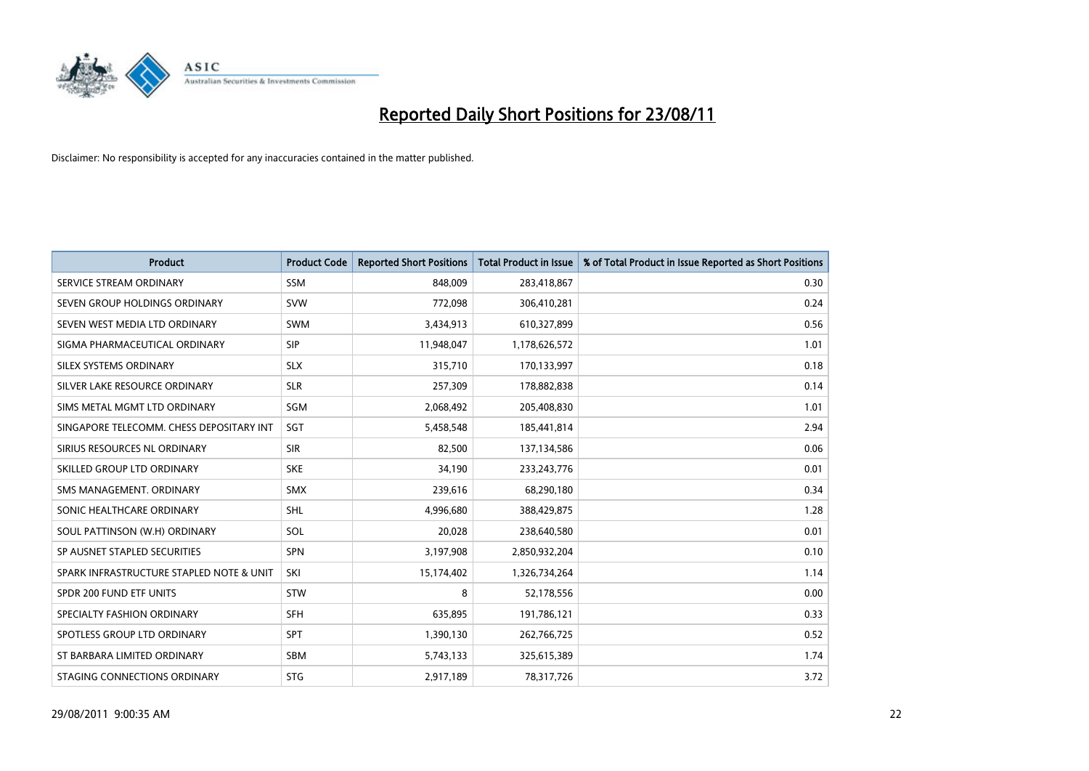

| <b>Product</b>                           | <b>Product Code</b> | <b>Reported Short Positions</b> | <b>Total Product in Issue</b> | % of Total Product in Issue Reported as Short Positions |
|------------------------------------------|---------------------|---------------------------------|-------------------------------|---------------------------------------------------------|
| SERVICE STREAM ORDINARY                  | <b>SSM</b>          | 848,009                         | 283,418,867                   | 0.30                                                    |
| SEVEN GROUP HOLDINGS ORDINARY            | <b>SVW</b>          | 772,098                         | 306,410,281                   | 0.24                                                    |
| SEVEN WEST MEDIA LTD ORDINARY            | <b>SWM</b>          | 3,434,913                       | 610,327,899                   | 0.56                                                    |
| SIGMA PHARMACEUTICAL ORDINARY            | <b>SIP</b>          | 11,948,047                      | 1,178,626,572                 | 1.01                                                    |
| SILEX SYSTEMS ORDINARY                   | <b>SLX</b>          | 315,710                         | 170,133,997                   | 0.18                                                    |
| SILVER LAKE RESOURCE ORDINARY            | <b>SLR</b>          | 257,309                         | 178,882,838                   | 0.14                                                    |
| SIMS METAL MGMT LTD ORDINARY             | SGM                 | 2,068,492                       | 205,408,830                   | 1.01                                                    |
| SINGAPORE TELECOMM. CHESS DEPOSITARY INT | SGT                 | 5,458,548                       | 185,441,814                   | 2.94                                                    |
| SIRIUS RESOURCES NL ORDINARY             | <b>SIR</b>          | 82,500                          | 137,134,586                   | 0.06                                                    |
| SKILLED GROUP LTD ORDINARY               | <b>SKE</b>          | 34,190                          | 233, 243, 776                 | 0.01                                                    |
| SMS MANAGEMENT. ORDINARY                 | <b>SMX</b>          | 239,616                         | 68,290,180                    | 0.34                                                    |
| SONIC HEALTHCARE ORDINARY                | <b>SHL</b>          | 4,996,680                       | 388,429,875                   | 1.28                                                    |
| SOUL PATTINSON (W.H) ORDINARY            | SOL                 | 20,028                          | 238,640,580                   | 0.01                                                    |
| SP AUSNET STAPLED SECURITIES             | <b>SPN</b>          | 3,197,908                       | 2,850,932,204                 | 0.10                                                    |
| SPARK INFRASTRUCTURE STAPLED NOTE & UNIT | SKI                 | 15,174,402                      | 1,326,734,264                 | 1.14                                                    |
| SPDR 200 FUND ETF UNITS                  | STW                 | 8                               | 52,178,556                    | 0.00                                                    |
| SPECIALTY FASHION ORDINARY               | <b>SFH</b>          | 635,895                         | 191,786,121                   | 0.33                                                    |
| SPOTLESS GROUP LTD ORDINARY              | <b>SPT</b>          | 1,390,130                       | 262,766,725                   | 0.52                                                    |
| ST BARBARA LIMITED ORDINARY              | <b>SBM</b>          | 5,743,133                       | 325,615,389                   | 1.74                                                    |
| STAGING CONNECTIONS ORDINARY             | <b>STG</b>          | 2,917,189                       | 78,317,726                    | 3.72                                                    |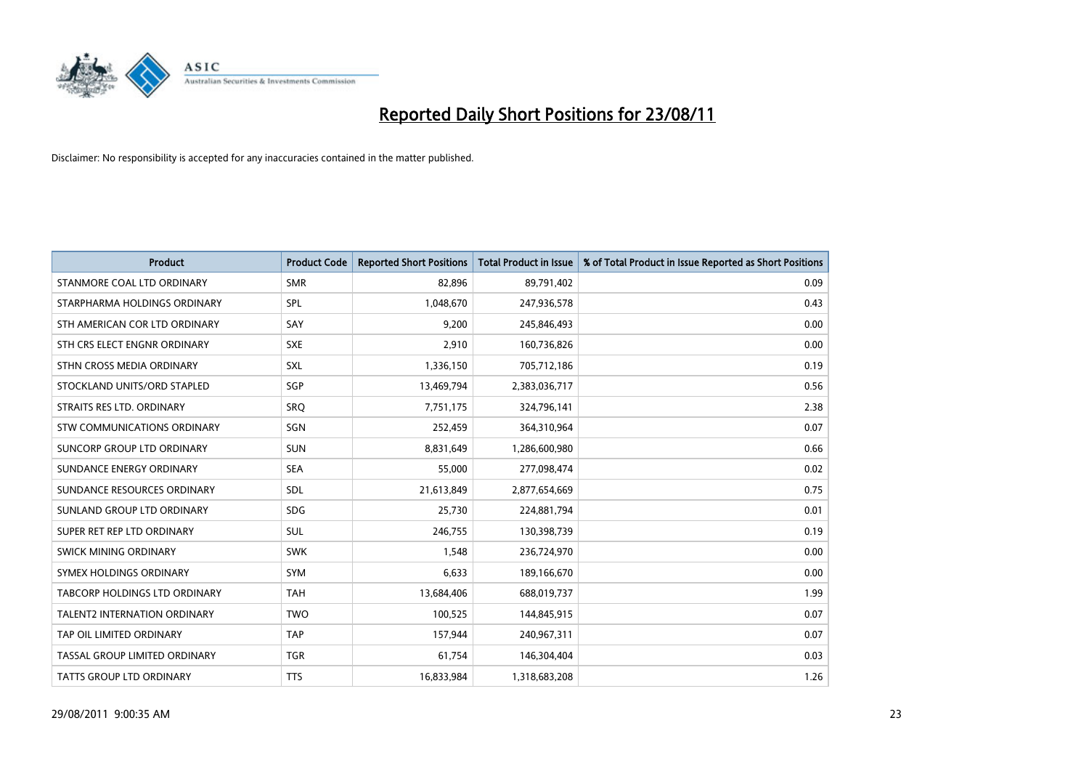

| <b>Product</b>                | <b>Product Code</b> | <b>Reported Short Positions</b> | <b>Total Product in Issue</b> | % of Total Product in Issue Reported as Short Positions |
|-------------------------------|---------------------|---------------------------------|-------------------------------|---------------------------------------------------------|
| STANMORE COAL LTD ORDINARY    | <b>SMR</b>          | 82,896                          | 89,791,402                    | 0.09                                                    |
| STARPHARMA HOLDINGS ORDINARY  | <b>SPL</b>          | 1,048,670                       | 247,936,578                   | 0.43                                                    |
| STH AMERICAN COR LTD ORDINARY | SAY                 | 9,200                           | 245,846,493                   | 0.00                                                    |
| STH CRS ELECT ENGNR ORDINARY  | <b>SXE</b>          | 2,910                           | 160,736,826                   | 0.00                                                    |
| STHN CROSS MEDIA ORDINARY     | SXL                 | 1,336,150                       | 705,712,186                   | 0.19                                                    |
| STOCKLAND UNITS/ORD STAPLED   | SGP                 | 13,469,794                      | 2,383,036,717                 | 0.56                                                    |
| STRAITS RES LTD. ORDINARY     | <b>SRO</b>          | 7,751,175                       | 324,796,141                   | 2.38                                                    |
| STW COMMUNICATIONS ORDINARY   | SGN                 | 252,459                         | 364,310,964                   | 0.07                                                    |
| SUNCORP GROUP LTD ORDINARY    | <b>SUN</b>          | 8,831,649                       | 1,286,600,980                 | 0.66                                                    |
| SUNDANCE ENERGY ORDINARY      | <b>SEA</b>          | 55,000                          | 277,098,474                   | 0.02                                                    |
| SUNDANCE RESOURCES ORDINARY   | <b>SDL</b>          | 21,613,849                      | 2,877,654,669                 | 0.75                                                    |
| SUNLAND GROUP LTD ORDINARY    | <b>SDG</b>          | 25,730                          | 224,881,794                   | 0.01                                                    |
| SUPER RET REP LTD ORDINARY    | <b>SUL</b>          | 246,755                         | 130,398,739                   | 0.19                                                    |
| <b>SWICK MINING ORDINARY</b>  | <b>SWK</b>          | 1,548                           | 236,724,970                   | 0.00                                                    |
| SYMEX HOLDINGS ORDINARY       | SYM                 | 6,633                           | 189,166,670                   | 0.00                                                    |
| TABCORP HOLDINGS LTD ORDINARY | <b>TAH</b>          | 13,684,406                      | 688,019,737                   | 1.99                                                    |
| TALENT2 INTERNATION ORDINARY  | <b>TWO</b>          | 100,525                         | 144,845,915                   | 0.07                                                    |
| TAP OIL LIMITED ORDINARY      | <b>TAP</b>          | 157,944                         | 240,967,311                   | 0.07                                                    |
| TASSAL GROUP LIMITED ORDINARY | <b>TGR</b>          | 61,754                          | 146,304,404                   | 0.03                                                    |
| TATTS GROUP LTD ORDINARY      | <b>TTS</b>          | 16,833,984                      | 1,318,683,208                 | 1.26                                                    |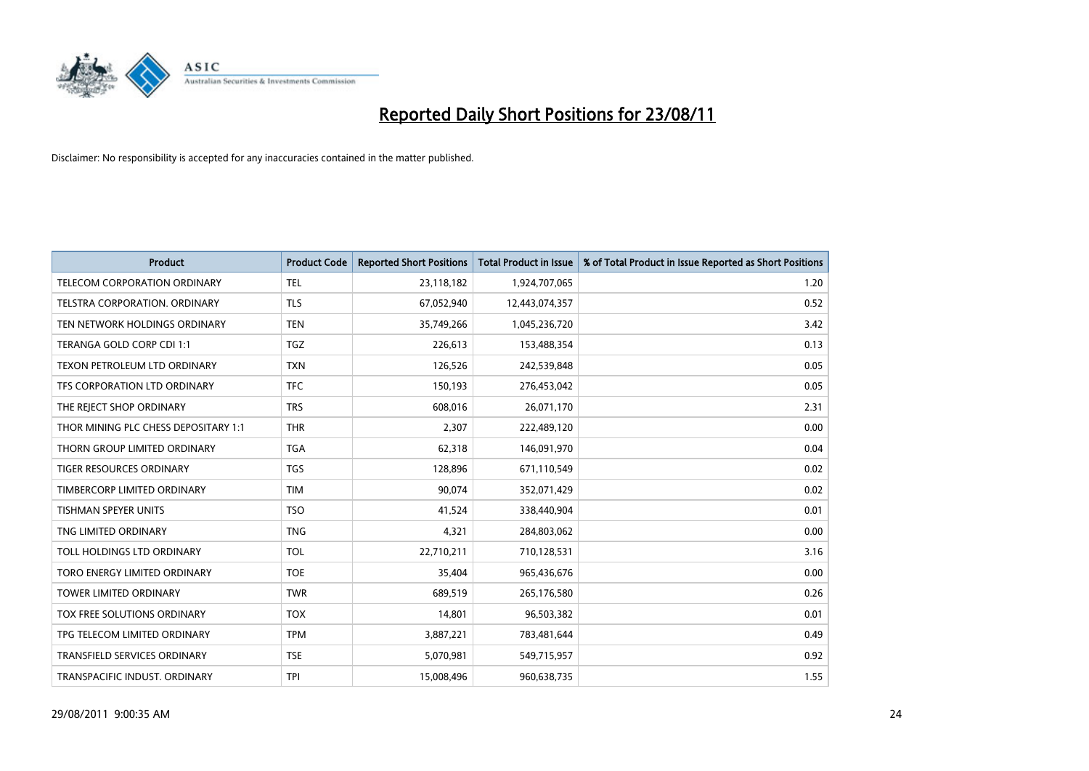

| <b>Product</b>                       | <b>Product Code</b> | <b>Reported Short Positions</b> | <b>Total Product in Issue</b> | % of Total Product in Issue Reported as Short Positions |
|--------------------------------------|---------------------|---------------------------------|-------------------------------|---------------------------------------------------------|
| TELECOM CORPORATION ORDINARY         | <b>TEL</b>          | 23,118,182                      | 1,924,707,065                 | 1.20                                                    |
| TELSTRA CORPORATION. ORDINARY        | <b>TLS</b>          | 67,052,940                      | 12,443,074,357                | 0.52                                                    |
| TEN NETWORK HOLDINGS ORDINARY        | <b>TEN</b>          | 35,749,266                      | 1,045,236,720                 | 3.42                                                    |
| TERANGA GOLD CORP CDI 1:1            | <b>TGZ</b>          | 226,613                         | 153,488,354                   | 0.13                                                    |
| TEXON PETROLEUM LTD ORDINARY         | <b>TXN</b>          | 126,526                         | 242,539,848                   | 0.05                                                    |
| TFS CORPORATION LTD ORDINARY         | <b>TFC</b>          | 150,193                         | 276,453,042                   | 0.05                                                    |
| THE REJECT SHOP ORDINARY             | <b>TRS</b>          | 608,016                         | 26,071,170                    | 2.31                                                    |
| THOR MINING PLC CHESS DEPOSITARY 1:1 | <b>THR</b>          | 2,307                           | 222,489,120                   | 0.00                                                    |
| THORN GROUP LIMITED ORDINARY         | <b>TGA</b>          | 62,318                          | 146,091,970                   | 0.04                                                    |
| <b>TIGER RESOURCES ORDINARY</b>      | <b>TGS</b>          | 128,896                         | 671,110,549                   | 0.02                                                    |
| TIMBERCORP LIMITED ORDINARY          | <b>TIM</b>          | 90,074                          | 352,071,429                   | 0.02                                                    |
| <b>TISHMAN SPEYER UNITS</b>          | <b>TSO</b>          | 41,524                          | 338,440,904                   | 0.01                                                    |
| TNG LIMITED ORDINARY                 | <b>TNG</b>          | 4,321                           | 284,803,062                   | 0.00                                                    |
| TOLL HOLDINGS LTD ORDINARY           | <b>TOL</b>          | 22,710,211                      | 710,128,531                   | 3.16                                                    |
| TORO ENERGY LIMITED ORDINARY         | <b>TOE</b>          | 35,404                          | 965,436,676                   | 0.00                                                    |
| <b>TOWER LIMITED ORDINARY</b>        | <b>TWR</b>          | 689,519                         | 265,176,580                   | 0.26                                                    |
| <b>TOX FREE SOLUTIONS ORDINARY</b>   | <b>TOX</b>          | 14,801                          | 96,503,382                    | 0.01                                                    |
| TPG TELECOM LIMITED ORDINARY         | <b>TPM</b>          | 3,887,221                       | 783,481,644                   | 0.49                                                    |
| <b>TRANSFIELD SERVICES ORDINARY</b>  | <b>TSE</b>          | 5,070,981                       | 549,715,957                   | 0.92                                                    |
| TRANSPACIFIC INDUST. ORDINARY        | <b>TPI</b>          | 15,008,496                      | 960,638,735                   | 1.55                                                    |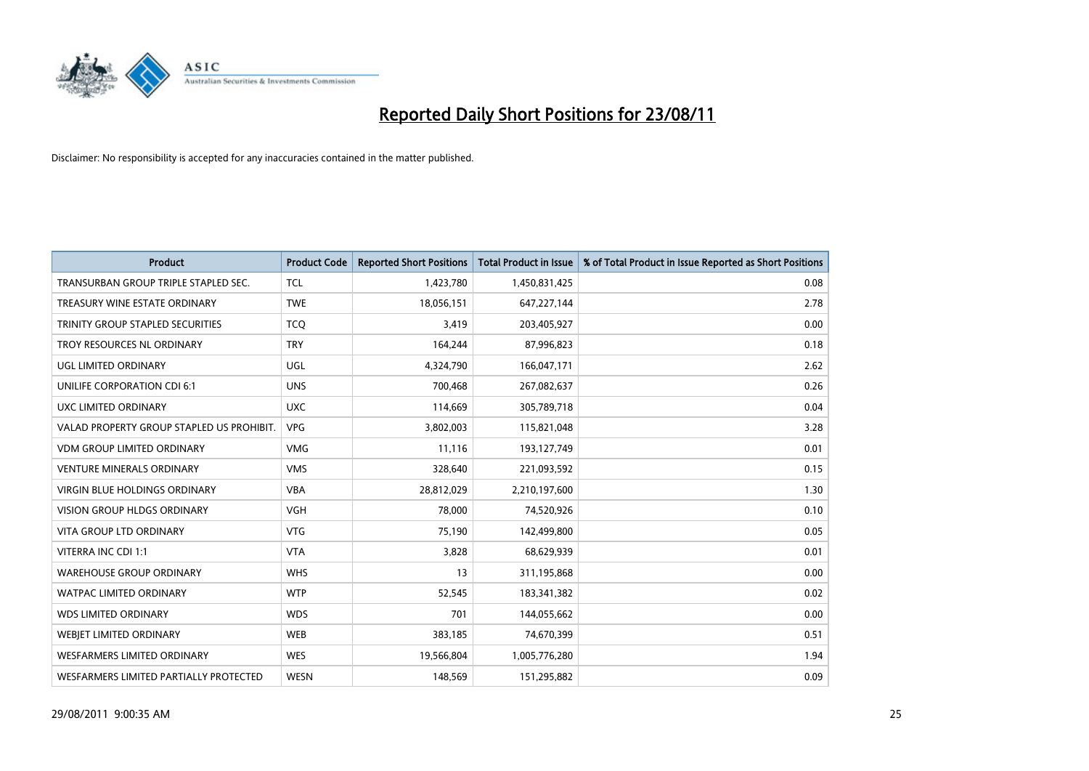

| <b>Product</b>                            | <b>Product Code</b> | <b>Reported Short Positions</b> | <b>Total Product in Issue</b> | % of Total Product in Issue Reported as Short Positions |
|-------------------------------------------|---------------------|---------------------------------|-------------------------------|---------------------------------------------------------|
| TRANSURBAN GROUP TRIPLE STAPLED SEC.      | <b>TCL</b>          | 1,423,780                       | 1,450,831,425                 | 0.08                                                    |
| TREASURY WINE ESTATE ORDINARY             | <b>TWE</b>          | 18,056,151                      | 647,227,144                   | 2.78                                                    |
| TRINITY GROUP STAPLED SECURITIES          | <b>TCQ</b>          | 3,419                           | 203,405,927                   | 0.00                                                    |
| TROY RESOURCES NL ORDINARY                | <b>TRY</b>          | 164,244                         | 87,996,823                    | 0.18                                                    |
| <b>UGL LIMITED ORDINARY</b>               | <b>UGL</b>          | 4,324,790                       | 166,047,171                   | 2.62                                                    |
| UNILIFE CORPORATION CDI 6:1               | <b>UNS</b>          | 700,468                         | 267,082,637                   | 0.26                                                    |
| UXC LIMITED ORDINARY                      | <b>UXC</b>          | 114,669                         | 305,789,718                   | 0.04                                                    |
| VALAD PROPERTY GROUP STAPLED US PROHIBIT. | <b>VPG</b>          | 3,802,003                       | 115,821,048                   | 3.28                                                    |
| <b>VDM GROUP LIMITED ORDINARY</b>         | <b>VMG</b>          | 11,116                          | 193,127,749                   | 0.01                                                    |
| <b>VENTURE MINERALS ORDINARY</b>          | <b>VMS</b>          | 328,640                         | 221,093,592                   | 0.15                                                    |
| <b>VIRGIN BLUE HOLDINGS ORDINARY</b>      | <b>VBA</b>          | 28,812,029                      | 2,210,197,600                 | 1.30                                                    |
| <b>VISION GROUP HLDGS ORDINARY</b>        | VGH                 | 78,000                          | 74,520,926                    | 0.10                                                    |
| <b>VITA GROUP LTD ORDINARY</b>            | <b>VTG</b>          | 75,190                          | 142,499,800                   | 0.05                                                    |
| VITERRA INC CDI 1:1                       | <b>VTA</b>          | 3,828                           | 68,629,939                    | 0.01                                                    |
| <b>WAREHOUSE GROUP ORDINARY</b>           | <b>WHS</b>          | 13                              | 311,195,868                   | 0.00                                                    |
| <b>WATPAC LIMITED ORDINARY</b>            | <b>WTP</b>          | 52,545                          | 183,341,382                   | 0.02                                                    |
| <b>WDS LIMITED ORDINARY</b>               | <b>WDS</b>          | 701                             | 144,055,662                   | 0.00                                                    |
| <b>WEBIET LIMITED ORDINARY</b>            | <b>WEB</b>          | 383,185                         | 74,670,399                    | 0.51                                                    |
| <b>WESFARMERS LIMITED ORDINARY</b>        | <b>WES</b>          | 19,566,804                      | 1,005,776,280                 | 1.94                                                    |
| WESFARMERS LIMITED PARTIALLY PROTECTED    | <b>WESN</b>         | 148.569                         | 151,295,882                   | 0.09                                                    |